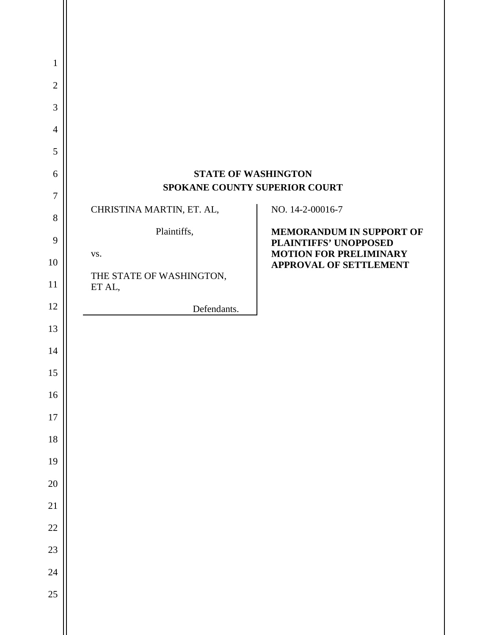| 1              |                                    |                                                                |
|----------------|------------------------------------|----------------------------------------------------------------|
| $\mathbf{2}$   |                                    |                                                                |
| 3              |                                    |                                                                |
| $\overline{4}$ |                                    |                                                                |
| 5              |                                    |                                                                |
| 6              |                                    | <b>STATE OF WASHINGTON</b>                                     |
| $\tau$         |                                    | SPOKANE COUNTY SUPERIOR COURT                                  |
| 8              | CHRISTINA MARTIN, ET. AL,          | NO. 14-2-00016-7                                               |
| 9              | Plaintiffs,                        | MEMORANDUM IN SUPPORT OF<br>PLAINTIFFS' UNOPPOSED              |
| 10             | VS.                                | <b>MOTION FOR PRELIMINARY</b><br><b>APPROVAL OF SETTLEMENT</b> |
| 11             | THE STATE OF WASHINGTON,<br>ET AL, |                                                                |
| 12             | Defendants.                        |                                                                |
| 13             |                                    |                                                                |
| 14             |                                    |                                                                |
| 15             |                                    |                                                                |
| 16             |                                    |                                                                |
| 17             |                                    |                                                                |
| 18             |                                    |                                                                |
| 19             |                                    |                                                                |
| 20             |                                    |                                                                |
| 21             |                                    |                                                                |
| 22             |                                    |                                                                |
| 23             |                                    |                                                                |
| 24             |                                    |                                                                |
| 25             |                                    |                                                                |
|                |                                    |                                                                |
|                |                                    |                                                                |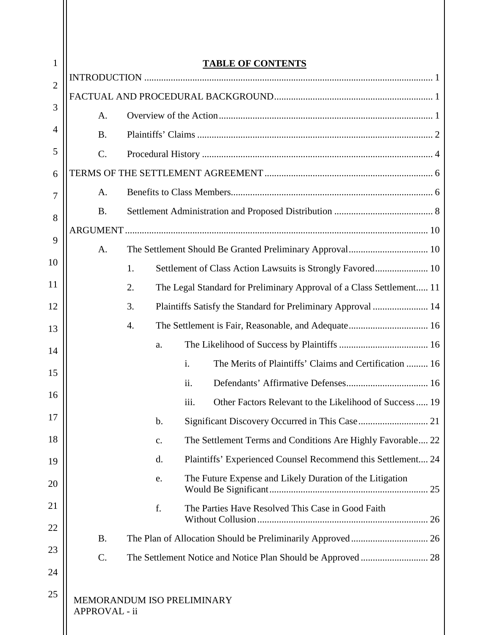| 1              | <b>TABLE OF CONTENTS</b>                    |    |                                                                          |  |
|----------------|---------------------------------------------|----|--------------------------------------------------------------------------|--|
| $\overline{2}$ |                                             |    |                                                                          |  |
|                |                                             |    |                                                                          |  |
| 3              | A.                                          |    |                                                                          |  |
| 4              | <b>B.</b>                                   |    |                                                                          |  |
| 5              | $\mathcal{C}$ .                             |    |                                                                          |  |
| 6              |                                             |    |                                                                          |  |
| 7              | A.                                          |    |                                                                          |  |
| 8              | <b>B.</b>                                   |    |                                                                          |  |
| 9              |                                             |    |                                                                          |  |
|                | A.                                          |    | The Settlement Should Be Granted Preliminary Approval 10                 |  |
| 10             |                                             | 1. |                                                                          |  |
| 11             |                                             | 2. | The Legal Standard for Preliminary Approval of a Class Settlement 11     |  |
| 12             |                                             | 3. |                                                                          |  |
| 13             |                                             | 4. | The Settlement is Fair, Reasonable, and Adequate 16                      |  |
| 14             |                                             | a. |                                                                          |  |
| 15             |                                             |    | The Merits of Plaintiffs' Claims and Certification  16<br>$\mathbf{i}$ . |  |
| 16             |                                             |    | ii.                                                                      |  |
|                |                                             |    | Other Factors Relevant to the Likelihood of Success 19<br>iii.           |  |
| 17             |                                             | b. |                                                                          |  |
| 18             |                                             | c. | The Settlement Terms and Conditions Are Highly Favorable 22              |  |
| 19             |                                             | d. | Plaintiffs' Experienced Counsel Recommend this Settlement 24             |  |
| 20             |                                             | e. | The Future Expense and Likely Duration of the Litigation                 |  |
| 21             |                                             | f. | The Parties Have Resolved This Case in Good Faith                        |  |
| 22             | <b>B.</b>                                   |    |                                                                          |  |
| 23             | $C$ .                                       |    |                                                                          |  |
| 24             |                                             |    |                                                                          |  |
| 25             | MEMORANDUM ISO PRELIMINARY<br>APPROVAL - ii |    |                                                                          |  |

Ш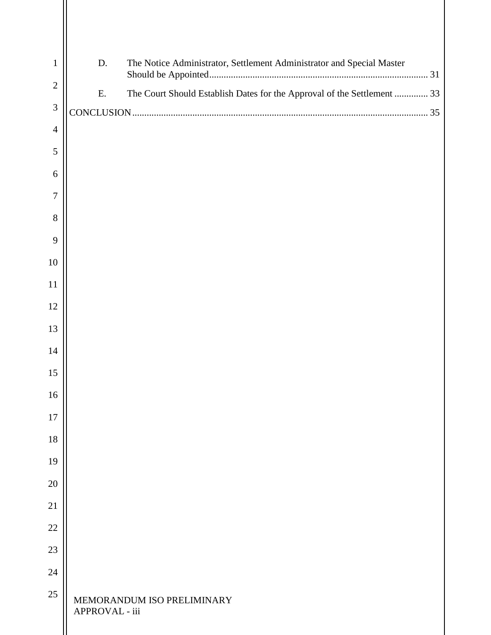| $\mathbf{1}$   | D.             | The Notice Administrator, Settlement Administrator and Special Master   |
|----------------|----------------|-------------------------------------------------------------------------|
| $\overline{2}$ | Ε.             | The Court Should Establish Dates for the Approval of the Settlement  33 |
| $\mathfrak{Z}$ |                |                                                                         |
| $\overline{4}$ |                |                                                                         |
| 5              |                |                                                                         |
| 6              |                |                                                                         |
|                |                |                                                                         |
| 8              |                |                                                                         |
|                |                |                                                                         |
| 10             |                |                                                                         |
| 11             |                |                                                                         |
| 12             |                |                                                                         |
| 13             |                |                                                                         |
| 14             |                |                                                                         |
| 15             |                |                                                                         |
| 16             |                |                                                                         |
| 17             |                |                                                                         |
| 18             |                |                                                                         |
| 19             |                |                                                                         |
| 20             |                |                                                                         |
| 21             |                |                                                                         |
| 22             |                |                                                                         |
| 23             |                |                                                                         |
| 24             |                |                                                                         |
| 25             | APPROVAL - iii | MEMORANDUM ISO PRELIMINARY                                              |
|                |                |                                                                         |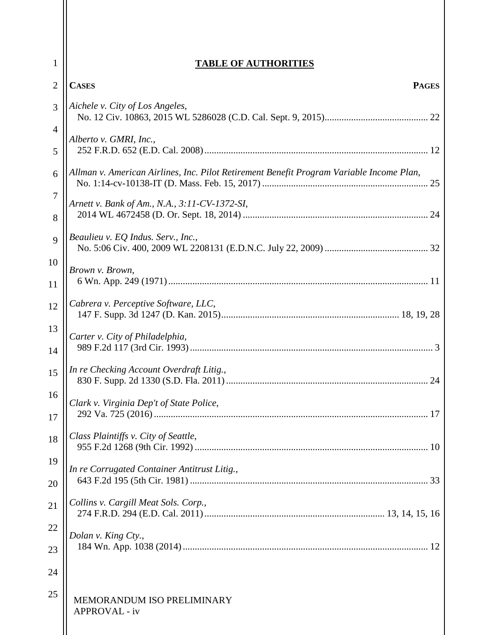| $\mathbf{1}$        | <b>TABLE OF AUTHORITIES</b>                                                              |  |
|---------------------|------------------------------------------------------------------------------------------|--|
| $\overline{2}$      | <b>CASES</b><br><b>PAGES</b>                                                             |  |
| 3                   | Aichele v. City of Los Angeles,                                                          |  |
| $\overline{4}$<br>5 | Alberto v. GMRI, Inc.,                                                                   |  |
| 6                   | Allman v. American Airlines, Inc. Pilot Retirement Benefit Program Variable Income Plan, |  |
| 7<br>8              | Arnett v. Bank of Am., N.A., 3:11-CV-1372-SI,                                            |  |
| 9                   | Beaulieu v. EQ Indus. Serv., Inc.,                                                       |  |
| 10<br>11            | Brown v. Brown,                                                                          |  |
| 12                  | Cabrera v. Perceptive Software, LLC,                                                     |  |
| 13<br>14            | Carter v. City of Philadelphia,                                                          |  |
| 15                  | In re Checking Account Overdraft Litig.,                                                 |  |
| 16<br>17            | Clark v. Virginia Dep't of State Police,                                                 |  |
| 18                  | Class Plaintiffs v. City of Seattle,                                                     |  |
| 19<br>20            | In re Corrugated Container Antitrust Litig.,                                             |  |
| 21                  | Collins v. Cargill Meat Sols. Corp.,                                                     |  |
| 22<br>23            | Dolan v. King Cty.,                                                                      |  |
| 24                  |                                                                                          |  |
| 25                  | MEMORANDUM ISO PRELIMINARY<br><b>APPROVAL - iv</b>                                       |  |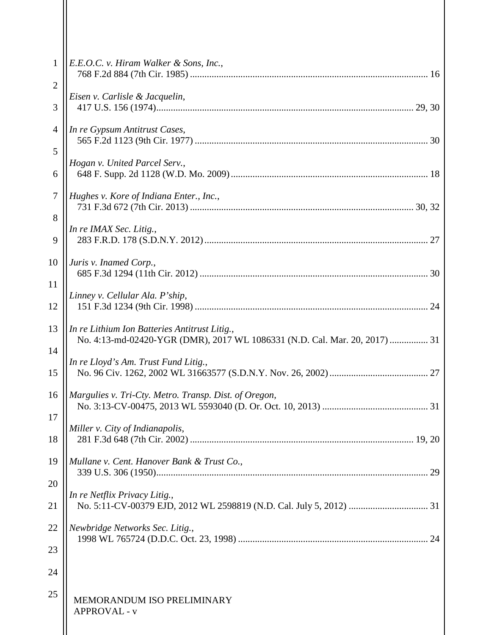| 1                   | E.E.O.C. v. Hiram Walker & Sons, Inc.,                                                                                      |  |
|---------------------|-----------------------------------------------------------------------------------------------------------------------------|--|
| $\overline{2}$<br>3 | Eisen v. Carlisle & Jacquelin,                                                                                              |  |
| 4<br>5              | In re Gypsum Antitrust Cases,                                                                                               |  |
| 6                   | Hogan v. United Parcel Serv.,                                                                                               |  |
| 7                   | Hughes v. Kore of Indiana Enter., Inc.,                                                                                     |  |
| 8<br>9              | In re IMAX Sec. Litig.,                                                                                                     |  |
| 10                  | Juris v. Inamed Corp.,                                                                                                      |  |
| 11<br>12            | Linney v. Cellular Ala. P'ship,                                                                                             |  |
| 13                  | In re Lithium Ion Batteries Antitrust Litig.,<br>No. 4:13-md-02420-YGR (DMR), 2017 WL 1086331 (N.D. Cal. Mar. 20, 2017)  31 |  |
| 14<br>15            | In re Lloyd's Am. Trust Fund Litig.,                                                                                        |  |
| 16                  | Margulies v. Tri-Cty. Metro. Transp. Dist. of Oregon,                                                                       |  |
| 17<br>18            | Miller v. City of Indianapolis,                                                                                             |  |
| 19                  | Mullane v. Cent. Hanover Bank & Trust Co.,                                                                                  |  |
| 20<br>21            | In re Netflix Privacy Litig.,                                                                                               |  |
| 22                  | Newbridge Networks Sec. Litig.,                                                                                             |  |
| 23<br>24            |                                                                                                                             |  |
| 25                  | MEMORANDUM ISO PRELIMINARY<br><b>APPROVAL - v</b>                                                                           |  |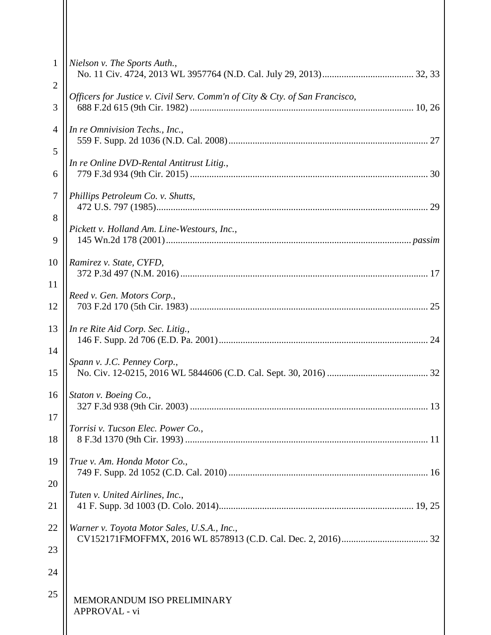| $\mathbf{1}$        | Nielson v. The Sports Auth.,                                                |
|---------------------|-----------------------------------------------------------------------------|
| $\overline{2}$<br>3 | Officers for Justice v. Civil Serv. Comm'n of City & Cty. of San Francisco, |
| 4                   | In re Omnivision Techs., Inc.,                                              |
| 5<br>6              | In re Online DVD-Rental Antitrust Litig.,                                   |
| 7                   | Phillips Petroleum Co. v. Shutts,                                           |
| 8<br>9              | Pickett v. Holland Am. Line-Westours, Inc.,                                 |
| 10                  | Ramirez v. State, CYFD,                                                     |
| 11<br>12            | Reed v. Gen. Motors Corp.,                                                  |
| 13                  | In re Rite Aid Corp. Sec. Litig.,                                           |
| 14<br>15            | Spann v. J.C. Penney Corp.,                                                 |
| 16<br>17            | Staton v. Boeing Co.,                                                       |
| 18                  | Torrisi v. Tucson Elec. Power Co.,                                          |
| 19                  | True v. Am. Honda Motor Co.,                                                |
| 20<br>21            | Tuten v. United Airlines, Inc.,                                             |
| 22<br>23            | Warner v. Toyota Motor Sales, U.S.A., Inc.,                                 |
| 24                  |                                                                             |
| 25                  | MEMORANDUM ISO PRELIMINARY<br><b>APPROVAL</b> - vi                          |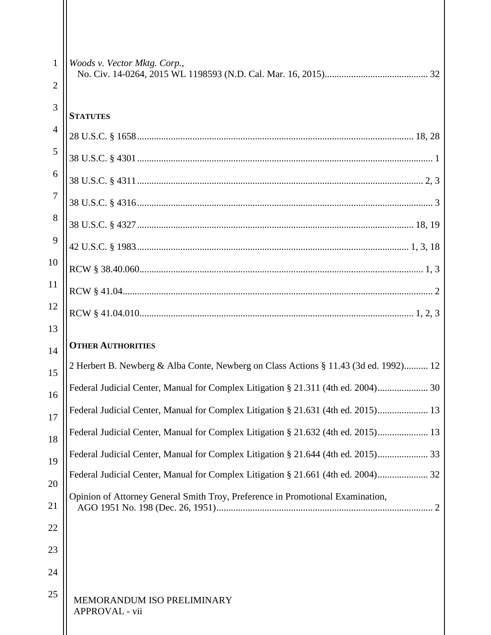| 1              | Woods v. Vector Mktg. Corp.,                                                         |
|----------------|--------------------------------------------------------------------------------------|
| $\overline{2}$ |                                                                                      |
| 3              | <b>STATUTES</b>                                                                      |
| $\overline{4}$ |                                                                                      |
| 5              |                                                                                      |
| 6              |                                                                                      |
| $\overline{7}$ |                                                                                      |
| 8              |                                                                                      |
| 9              |                                                                                      |
| 10             |                                                                                      |
| 11             |                                                                                      |
| 12             |                                                                                      |
| 13             |                                                                                      |
| 14             | <b>OTHER AUTHORITIES</b>                                                             |
| 15             | 2 Herbert B. Newberg & Alba Conte, Newberg on Class Actions § 11.43 (3d ed. 1992) 12 |
| 16             | Federal Judicial Center, Manual for Complex Litigation § 21.311 (4th ed. 2004) 30    |
| 17             | Federal Judicial Center, Manual for Complex Litigation § 21.631 (4th ed. 2015) 13    |
| 18             | Federal Judicial Center, Manual for Complex Litigation § 21.632 (4th ed. 2015) 13    |
| 19             | Federal Judicial Center, Manual for Complex Litigation § 21.644 (4th ed. 2015)       |
| 20             |                                                                                      |
| 21             | Opinion of Attorney General Smith Troy, Preference in Promotional Examination,       |
| 22             |                                                                                      |
| 23             |                                                                                      |
| 24             |                                                                                      |
| 25             | MEMORANDUM ISO PRELIMINARY<br>APPROVAL - vii                                         |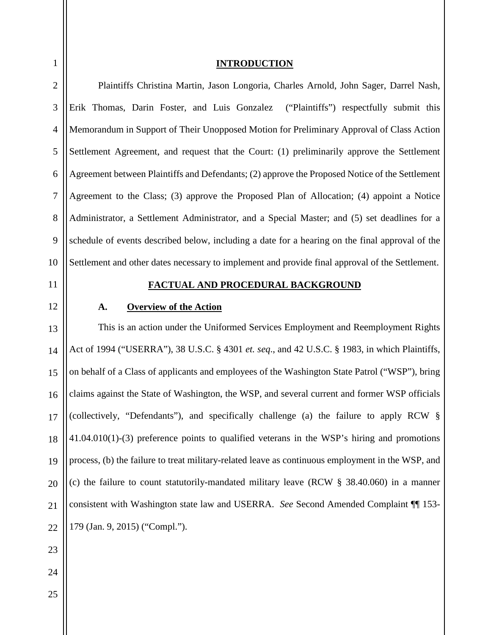<span id="page-7-2"></span><span id="page-7-1"></span><span id="page-7-0"></span>

| $\mathbf{1}$   | <b>INTRODUCTION</b>                                                                               |
|----------------|---------------------------------------------------------------------------------------------------|
| $\overline{c}$ | Plaintiffs Christina Martin, Jason Longoria, Charles Arnold, John Sager, Darrel Nash,             |
| 3              | Erik Thomas, Darin Foster, and Luis Gonzalez ("Plaintiffs") respectfully submit this              |
| $\overline{4}$ | Memorandum in Support of Their Unopposed Motion for Preliminary Approval of Class Action          |
| 5              | Settlement Agreement, and request that the Court: (1) preliminarily approve the Settlement        |
| 6              | Agreement between Plaintiffs and Defendants; (2) approve the Proposed Notice of the Settlement    |
| $\overline{7}$ | Agreement to the Class; (3) approve the Proposed Plan of Allocation; (4) appoint a Notice         |
| $8\,$          | Administrator, a Settlement Administrator, and a Special Master; and (5) set deadlines for a      |
| 9              | schedule of events described below, including a date for a hearing on the final approval of the   |
| 10             | Settlement and other dates necessary to implement and provide final approval of the Settlement.   |
| 11             | FACTUAL AND PROCEDURAL BACKGROUND                                                                 |
| 12             | <b>Overview of the Action</b><br>A.                                                               |
| 13             | This is an action under the Uniformed Services Employment and Reemployment Rights                 |
|                |                                                                                                   |
| 14             | Act of 1994 ("USERRA"), 38 U.S.C. § 4301 et. seq., and 42 U.S.C. § 1983, in which Plaintiffs,     |
| 15             | on behalf of a Class of applicants and employees of the Washington State Patrol ("WSP"), bring    |
| 16             | claims against the State of Washington, the WSP, and several current and former WSP officials     |
| 17             | (collectively, "Defendants"), and specifically challenge (a) the failure to apply RCW §           |
| 18             | $41.04.010(1)$ -(3) preference points to qualified veterans in the WSP's hiring and promotions    |
| 19             | process, (b) the failure to treat military-related leave as continuous employment in the WSP, and |
| 20             | (c) the failure to count statutorily-mandated military leave (RCW $\S$ 38.40.060) in a manner     |
| 21             | consistent with Washington state law and USERRA. See Second Amended Complaint 1153-               |
| 22             | 179 (Jan. 9, 2015) ("Compl.").                                                                    |
| 23             |                                                                                                   |
| 24             |                                                                                                   |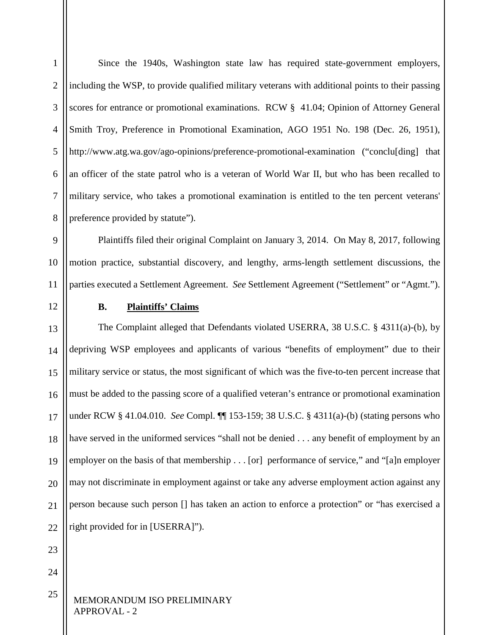1 2 3 4 5 6 7 8 Since the 1940s, Washington state law has required state-government employers, including the WSP, to provide qualified military veterans with additional points to their passing scores for entrance or promotional examinations. RCW § 41.04; Opinion of Attorney General Smith Troy, Preference in Promotional Examination, AGO 1951 No. 198 (Dec. 26, 1951), <http://www.atg.wa.gov/ago-opinions/preference-promotional-examination> ("conclu[ding] that an officer of the state patrol who is a veteran of World War II, but who has been recalled to military service, who takes a promotional examination is entitled to the ten percent veterans' preference provided by statute").

9 10 11 Plaintiffs filed their original Complaint on January 3, 2014. On May 8, 2017, following motion practice, substantial discovery, and lengthy, arms-length settlement discussions, the parties executed a Settlement Agreement. *See* Settlement Agreement ("Settlement" or "Agmt.").

<span id="page-8-0"></span>12

# **B. Plaintiffs' Claims**

13 14 15 16 17 18 19 20 21  $22$ The Complaint alleged that Defendants violated USERRA, 38 U.S.C. § 4311(a)-(b), by depriving WSP employees and applicants of various "benefits of employment" due to their military service or status, the most significant of which was the five-to-ten percent increase that must be added to the passing score of a qualified veteran's entrance or promotional examination under RCW § 41.04.010. *See* Compl. ¶¶ 153-159; 38 U.S.C. § 4311(a)-(b) (stating persons who have served in the uniformed services "shall not be denied . . . any benefit of employment by an employer on the basis of that membership . . . [or] performance of service," and "[a]n employer may not discriminate in employment against or take any adverse employment action against any person because such person [] has taken an action to enforce a protection" or "has exercised a right provided for in [USERRA]").

23

24

25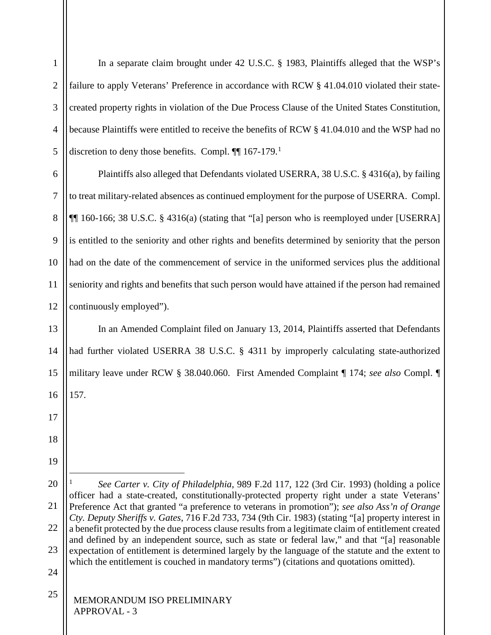In a separate claim brought under 42 U.S.C. § 1983, Plaintiffs alleged that the WSP's failure to apply Veterans' Preference in accordance with RCW § 41.04.010 violated their statecreated property rights in violation of the Due Process Clause of the United States Constitution, because Plaintiffs were entitled to receive the benefits of RCW § 41.04.010 and the WSP had no discretion to deny those benefits. Compl.  $\P$  [1](#page-9-0)67-179.<sup>1</sup>

6 7 8 9 10 11 12 Plaintiffs also alleged that Defendants violated USERRA, 38 U.S.C. § 4316(a), by failing to treat military-related absences as continued employment for the purpose of USERRA. Compl. ¶¶ 160-166; 38 U.S.C. § 4316(a) (stating that "[a] person who is reemployed under [USERRA] is entitled to the seniority and other rights and benefits determined by seniority that the person had on the date of the commencement of service in the uniformed services plus the additional seniority and rights and benefits that such person would have attained if the person had remained continuously employed").

13 14 15 16 In an Amended Complaint filed on January 13, 2014, Plaintiffs asserted that Defendants had further violated USERRA 38 U.S.C. § 4311 by improperly calculating state-authorized military leave under RCW § 38.040.060. First Amended Complaint ¶ 174; *see also* Compl. ¶ 157.

25

17

18

19

-

1

2

3

4

5

<span id="page-9-0"></span><sup>20</sup> 21 22 23 <sup>1</sup> *See Carter v. City of Philadelphia*, 989 F.2d 117, 122 (3rd Cir. 1993) (holding a police officer had a state-created, constitutionally-protected property right under a state Veterans' Preference Act that granted "a preference to veterans in promotion"); *see also Ass'n of Orange Cty. Deputy Sheriffs v. Gates*, 716 F.2d 733, 734 (9th Cir. 1983) (stating "[a] property interest in a benefit protected by the due process clause results from a legitimate claim of entitlement created and defined by an independent source, such as state or federal law," and that "[a] reasonable expectation of entitlement is determined largely by the language of the statute and the extent to which the entitlement is couched in mandatory terms") (citations and quotations omitted).

<sup>24</sup>

MEMORANDUM ISO PRELIMINARY APPROVAL - 3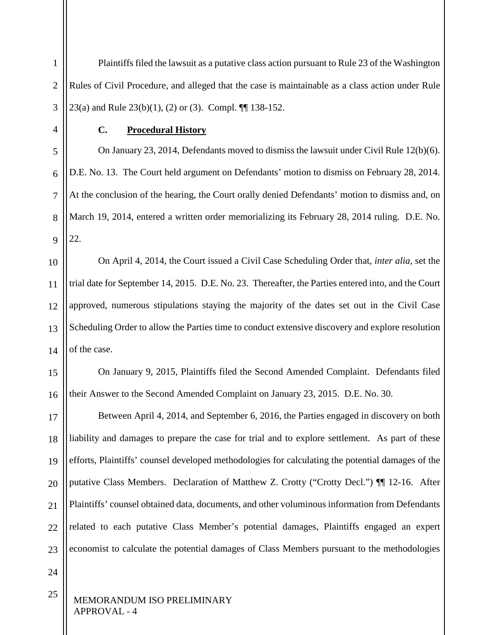1 2 3 Plaintiffs filed the lawsuit as a putative class action pursuant to Rule 23 of the Washington Rules of Civil Procedure, and alleged that the case is maintainable as a class action under Rule 23(a) and Rule 23(b)(1), (2) or (3). Compl. ¶¶ 138-152.

<span id="page-10-0"></span>4

5

6

7

8

9

#### **C. Procedural History**

On January 23, 2014, Defendants moved to dismiss the lawsuit under Civil Rule 12(b)(6). D.E. No. 13. The Court held argument on Defendants' motion to dismiss on February 28, 2014. At the conclusion of the hearing, the Court orally denied Defendants' motion to dismiss and, on March 19, 2014, entered a written order memorializing its February 28, 2014 ruling. D.E. No. 22.

10 11 12 13 14 On April 4, 2014, the Court issued a Civil Case Scheduling Order that, *inter alia,* set the trial date for September 14, 2015. D.E. No. 23. Thereafter, the Parties entered into, and the Court approved, numerous stipulations staying the majority of the dates set out in the Civil Case Scheduling Order to allow the Parties time to conduct extensive discovery and explore resolution of the case.

15 16 On January 9, 2015, Plaintiffs filed the Second Amended Complaint. Defendants filed their Answer to the Second Amended Complaint on January 23, 2015. D.E. No. 30.

17 18 19 20 21  $22$ 23 Between April 4, 2014, and September 6, 2016, the Parties engaged in discovery on both liability and damages to prepare the case for trial and to explore settlement. As part of these efforts, Plaintiffs' counsel developed methodologies for calculating the potential damages of the putative Class Members. Declaration of Matthew Z. Crotty ("Crotty Decl.") ¶¶ 12-16. After Plaintiffs' counsel obtained data, documents, and other voluminous information from Defendants related to each putative Class Member's potential damages, Plaintiffs engaged an expert economist to calculate the potential damages of Class Members pursuant to the methodologies

24

25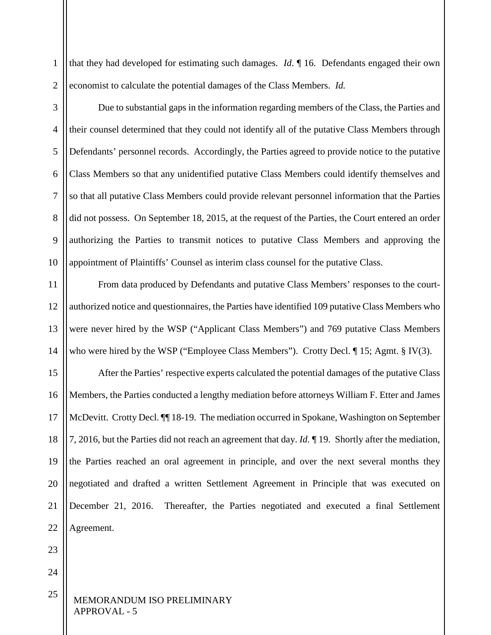1 2 that they had developed for estimating such damages. *Id*. ¶ 16. Defendants engaged their own economist to calculate the potential damages of the Class Members. *Id.*

3

4 5 6 7 8 9 10 Due to substantial gaps in the information regarding members of the Class, the Parties and their counsel determined that they could not identify all of the putative Class Members through Defendants' personnel records. Accordingly, the Parties agreed to provide notice to the putative Class Members so that any unidentified putative Class Members could identify themselves and so that all putative Class Members could provide relevant personnel information that the Parties did not possess. On September 18, 2015, at the request of the Parties, the Court entered an order authorizing the Parties to transmit notices to putative Class Members and approving the appointment of Plaintiffs' Counsel as interim class counsel for the putative Class.

11 12 13 14 From data produced by Defendants and putative Class Members' responses to the courtauthorized notice and questionnaires, the Parties have identified 109 putative Class Members who were never hired by the WSP ("Applicant Class Members") and 769 putative Class Members who were hired by the WSP ("Employee Class Members"). Crotty Decl.  $\P$  15; Agmt. § IV(3).

15 16 17 18 19 20 21 22 After the Parties' respective experts calculated the potential damages of the putative Class Members, the Parties conducted a lengthy mediation before attorneys William F. Etter and James McDevitt. Crotty Decl. ¶¶ 18-19. The mediation occurred in Spokane, Washington on September 7, 2016, but the Parties did not reach an agreement that day. *Id.* ¶ 19. Shortly after the mediation, the Parties reached an oral agreement in principle, and over the next several months they negotiated and drafted a written Settlement Agreement in Principle that was executed on December 21, 2016. Thereafter, the Parties negotiated and executed a final Settlement Agreement.

23

24

25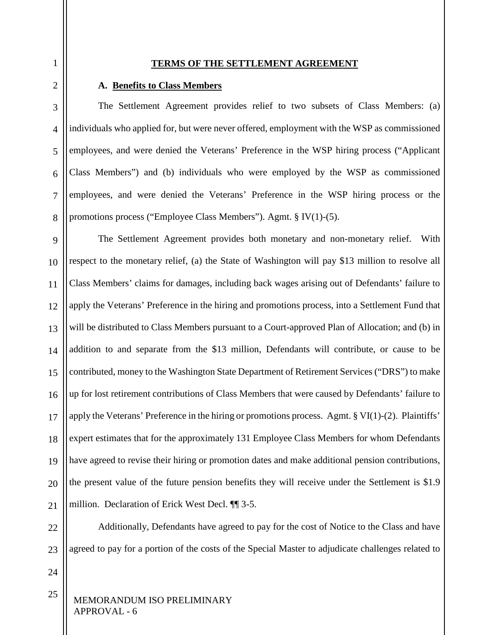#### **TERMS OF THE SETTLEMENT AGREEMENT**

#### **A. Benefits to Class Members**

The Settlement Agreement provides relief to two subsets of Class Members: (a) individuals who applied for, but were never offered, employment with the WSP as commissioned employees, and were denied the Veterans' Preference in the WSP hiring process ("Applicant Class Members") and (b) individuals who were employed by the WSP as commissioned employees, and were denied the Veterans' Preference in the WSP hiring process or the promotions process ("Employee Class Members"). Agmt. § IV(1)-(5).

9 10 11 12 13 14 15 16 17 18 19 20 21 The Settlement Agreement provides both monetary and non-monetary relief. With respect to the monetary relief, (a) the State of Washington will pay \$13 million to resolve all Class Members' claims for damages, including back wages arising out of Defendants' failure to apply the Veterans' Preference in the hiring and promotions process, into a Settlement Fund that will be distributed to Class Members pursuant to a Court-approved Plan of Allocation; and (b) in addition to and separate from the \$13 million, Defendants will contribute, or cause to be contributed, money to the Washington State Department of Retirement Services ("DRS") to make up for lost retirement contributions of Class Members that were caused by Defendants' failure to apply the Veterans' Preference in the hiring or promotions process. Agmt. § VI(1)-(2). Plaintiffs' expert estimates that for the approximately 131 Employee Class Members for whom Defendants have agreed to revise their hiring or promotion dates and make additional pension contributions, the present value of the future pension benefits they will receive under the Settlement is \$1.9 million. Declaration of Erick West Decl. ¶¶ 3-5.

 $22$ 23 Additionally, Defendants have agreed to pay for the cost of Notice to the Class and have agreed to pay for a portion of the costs of the Special Master to adjudicate challenges related to

24

25

<span id="page-12-0"></span>1

<span id="page-12-1"></span>2

3

4

5

6

7

8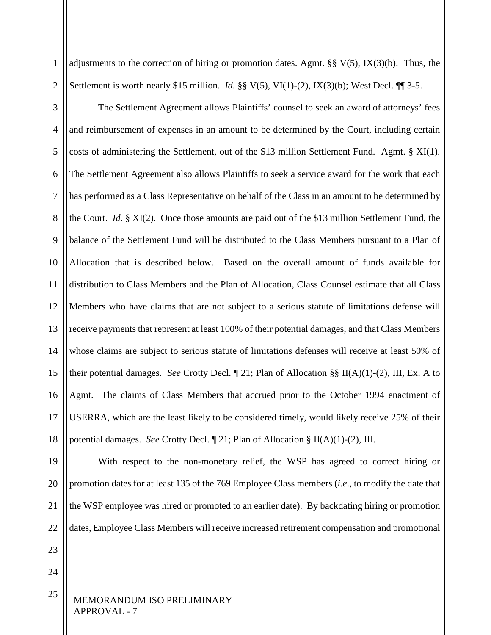1 2 adjustments to the correction of hiring or promotion dates. Agmt. §§  $V(5)$ ,  $IX(3)(b)$ . Thus, the Settlement is worth nearly \$15 million. *Id.* §§ V(5), VI(1)-(2), IX(3)(b); West Decl. ¶¶ 3-5.

The Settlement Agreement allows Plaintiffs' counsel to seek an award of attorneys' fees and reimbursement of expenses in an amount to be determined by the Court, including certain costs of administering the Settlement, out of the \$13 million Settlement Fund. Agmt. § XI(1). The Settlement Agreement also allows Plaintiffs to seek a service award for the work that each has performed as a Class Representative on behalf of the Class in an amount to be determined by the Court. *Id.* § XI(2). Once those amounts are paid out of the \$13 million Settlement Fund, the balance of the Settlement Fund will be distributed to the Class Members pursuant to a Plan of Allocation that is described below. Based on the overall amount of funds available for distribution to Class Members and the Plan of Allocation, Class Counsel estimate that all Class Members who have claims that are not subject to a serious statute of limitations defense will

13 14 15 16 17 18 receive payments that represent at least 100% of their potential damages, and that Class Members whose claims are subject to serious statute of limitations defenses will receive at least 50% of their potential damages. *See* Crotty Decl. ¶ 21; Plan of Allocation §§ II(A)(1)-(2), III, Ex. A to Agmt. The claims of Class Members that accrued prior to the October 1994 enactment of USERRA, which are the least likely to be considered timely, would likely receive 25% of their potential damages. *See* Crotty Decl. ¶ 21; Plan of Allocation § II(A)(1)-(2), III.

19 20 21 22 With respect to the non-monetary relief, the WSP has agreed to correct hiring or promotion dates for at least 135 of the 769 Employee Class members (*i.e*., to modify the date that the WSP employee was hired or promoted to an earlier date). By backdating hiring or promotion dates, Employee Class Members will receive increased retirement compensation and promotional

23

24

25

3

4

5

6

7

8

9

10

11

12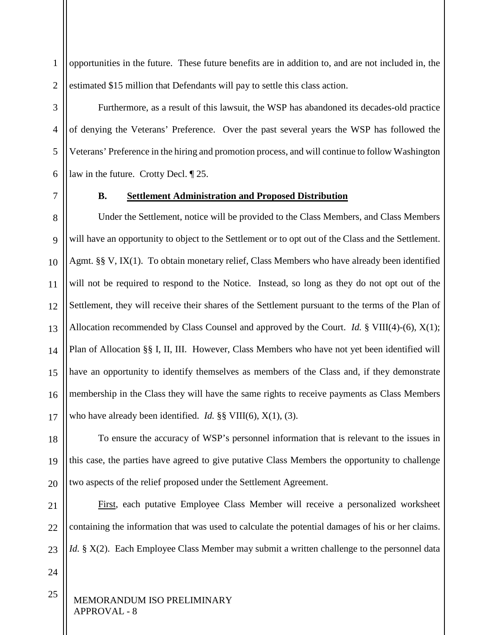1 2 opportunities in the future. These future benefits are in addition to, and are not included in, the estimated \$15 million that Defendants will pay to settle this class action.

Furthermore, as a result of this lawsuit, the WSP has abandoned its decades-old practice of denying the Veterans' Preference. Over the past several years the WSP has followed the Veterans' Preference in the hiring and promotion process, and will continue to follow Washington law in the future. Crotty Decl. ¶ 25.

<span id="page-14-0"></span>7

3

4

5

6

# **B. Settlement Administration and Proposed Distribution**

8 9 10 11 12 13 14 15 16 17 Under the Settlement, notice will be provided to the Class Members, and Class Members will have an opportunity to object to the Settlement or to opt out of the Class and the Settlement. Agmt. §§ V, IX(1). To obtain monetary relief, Class Members who have already been identified will not be required to respond to the Notice. Instead, so long as they do not opt out of the Settlement, they will receive their shares of the Settlement pursuant to the terms of the Plan of Allocation recommended by Class Counsel and approved by the Court. *Id.* § VIII(4)-(6), X(1); Plan of Allocation §§ I, II, III. However, Class Members who have not yet been identified will have an opportunity to identify themselves as members of the Class and, if they demonstrate membership in the Class they will have the same rights to receive payments as Class Members who have already been identified. *Id.* §§ VIII(6), X(1), (3).

18 19 20 To ensure the accuracy of WSP's personnel information that is relevant to the issues in this case, the parties have agreed to give putative Class Members the opportunity to challenge two aspects of the relief proposed under the Settlement Agreement.

21 22 23 First, each putative Employee Class Member will receive a personalized worksheet containing the information that was used to calculate the potential damages of his or her claims. *Id.* § X(2). Each Employee Class Member may submit a written challenge to the personnel data

24

25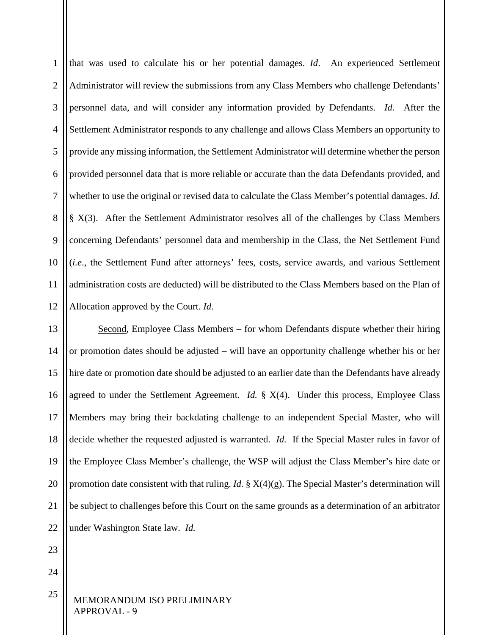1 2 3 4 5 6 7 8 9 10 11 12 that was used to calculate his or her potential damages. *Id*. An experienced Settlement Administrator will review the submissions from any Class Members who challenge Defendants' personnel data, and will consider any information provided by Defendants. *Id.* After the Settlement Administrator responds to any challenge and allows Class Members an opportunity to provide any missing information, the Settlement Administrator will determine whether the person provided personnel data that is more reliable or accurate than the data Defendants provided, and whether to use the original or revised data to calculate the Class Member's potential damages. *Id.* § X(3). After the Settlement Administrator resolves all of the challenges by Class Members concerning Defendants' personnel data and membership in the Class, the Net Settlement Fund (*i.e*., the Settlement Fund after attorneys' fees, costs, service awards, and various Settlement administration costs are deducted) will be distributed to the Class Members based on the Plan of Allocation approved by the Court. *Id.*

13 14 15 16 17 18 19 20 21 22 Second, Employee Class Members – for whom Defendants dispute whether their hiring or promotion dates should be adjusted – will have an opportunity challenge whether his or her hire date or promotion date should be adjusted to an earlier date than the Defendants have already agreed to under the Settlement Agreement. *Id.* § X(4). Under this process, Employee Class Members may bring their backdating challenge to an independent Special Master, who will decide whether the requested adjusted is warranted. *Id.* If the Special Master rules in favor of the Employee Class Member's challenge, the WSP will adjust the Class Member's hire date or promotion date consistent with that ruling. *Id.* § X(4)(g). The Special Master's determination will be subject to challenges before this Court on the same grounds as a determination of an arbitrator under Washington State law. *Id.*

23

24

25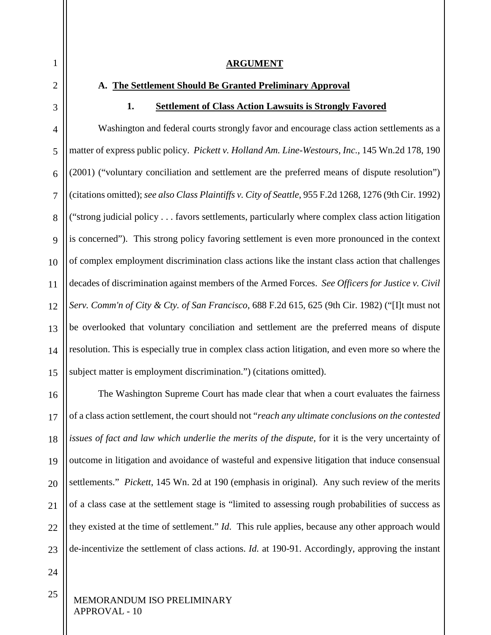#### **ARGUMENT**

#### <span id="page-16-1"></span><span id="page-16-0"></span>**A. The Settlement Should Be Granted Preliminary Approval**

#### **1. Settlement of Class Action Lawsuits is Strongly Favored**

<span id="page-16-2"></span>4 5 6 7 8 9 Washington and federal courts strongly favor and encourage class action settlements as a matter of express public policy. *Pickett v. Holland Am. Line-Westours, Inc.*, 145 Wn.2d 178, 190 (2001) ("voluntary conciliation and settlement are the preferred means of dispute resolution") (citations omitted); *see also Class Plaintiffs v. City of Seattle*, 955 F.2d 1268, 1276 (9th Cir. 1992) ("strong judicial policy . . . favors settlements, particularly where complex class action litigation is concerned"). This strong policy favoring settlement is even more pronounced in the context of complex employment discrimination class actions like the instant class action that challenges decades of discrimination against members of the Armed Forces. *See Officers for Justice v. Civil Serv. Comm'n of City & Cty. of San Francisco*, 688 F.2d 615, 625 (9th Cir. 1982) ("[I]t must not be overlooked that voluntary conciliation and settlement are the preferred means of dispute resolution. This is especially true in complex class action litigation, and even more so where the subject matter is employment discrimination.") (citations omitted).

21  $22$ 23 The Washington Supreme Court has made clear that when a court evaluates the fairness of a class action settlement, the court should not "*reach any ultimate conclusions on the contested issues of fact and law which underlie the merits of the dispute,* for it is the very uncertainty of outcome in litigation and avoidance of wasteful and expensive litigation that induce consensual settlements." *Pickett*, 145 Wn. 2d at 190 (emphasis in original). Any such review of the merits of a class case at the settlement stage is "limited to assessing rough probabilities of success as they existed at the time of settlement." *Id*. This rule applies, because any other approach would de-incentivize the settlement of class actions. *Id.* at 190-91. Accordingly, approving the instant

24

25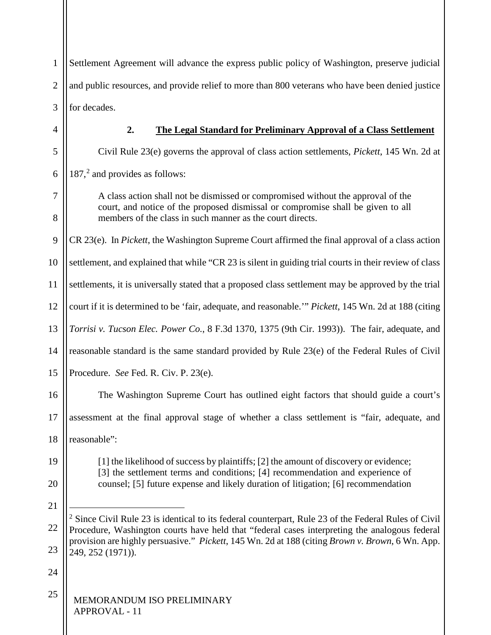1 2 3 4 Settlement Agreement will advance the express public policy of Washington, preserve judicial and public resources, and provide relief to more than 800 veterans who have been denied justice for decades.

# **2. The Legal Standard for Preliminary Approval of a Class Settlement**

<span id="page-17-0"></span>Civil Rule 23(e) governs the approval of class action settlements, *Pickett*, 145 Wn. 2d at 187, [2](#page-17-1) and provides as follows:

A class action shall not be dismissed or compromised without the approval of the court, and notice of the proposed dismissal or compromise shall be given to all members of the class in such manner as the court directs.

9 CR 23(e). In *Pickett*, the Washington Supreme Court affirmed the final approval of a class action

10 settlement, and explained that while "CR 23 is silent in guiding trial courts in their review of class

11 settlements, it is universally stated that a proposed class settlement may be approved by the trial

12 court if it is determined to be 'fair, adequate, and reasonable.'" *Pickett*, 145 Wn. 2d at 188 (citing

13 *Torrisi v. Tucson Elec. Power Co.*, 8 F.3d 1370, 1375 (9th Cir. 1993)). The fair, adequate, and

14 reasonable standard is the same standard provided by Rule 23(e) of the Federal Rules of Civil

15 Procedure. *See* Fed. R. Civ. P. 23(e).

The Washington Supreme Court has outlined eight factors that should guide a court's

17 assessment at the final approval stage of whether a class settlement is "fair, adequate, and

18 reasonable":

19

20

16

[1] the likelihood of success by plaintiffs; [2] the amount of discovery or evidence; [3] the settlement terms and conditions; [4] recommendation and experience of counsel; [5] future expense and likely duration of litigation; [6] recommendation

21

-

24

<span id="page-17-1"></span><sup>22</sup> 23 <sup>2</sup> Since Civil Rule 23 is identical to its federal counterpart, Rule 23 of the Federal Rules of Civil Procedure, Washington courts have held that "federal cases interpreting the analogous federal provision are highly persuasive." *Pickett*, 145 Wn. 2d at 188 (citing *Brown v. Brown*, 6 Wn. App. 249, 252 (1971)).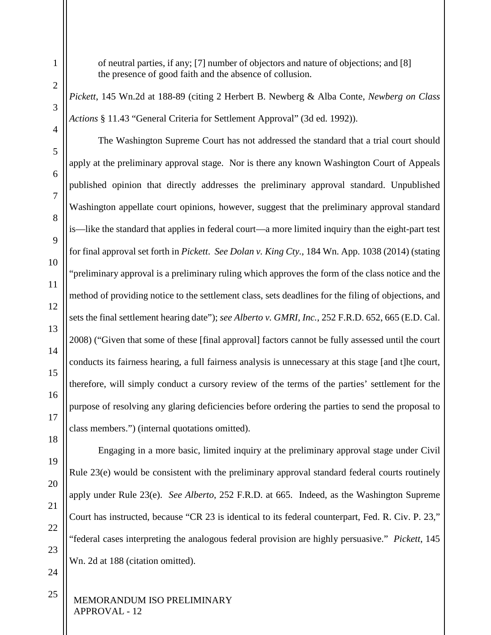of neutral parties, if any; [7] number of objectors and nature of objections; and [8] the presence of good faith and the absence of collusion.

*Pickett*, 145 Wn.2d at 188-89 (citing 2 Herbert B. Newberg & Alba Conte, *Newberg on Class Actions* § 11.43 "General Criteria for Settlement Approval" (3d ed. 1992)).

The Washington Supreme Court has not addressed the standard that a trial court should apply at the preliminary approval stage. Nor is there any known Washington Court of Appeals published opinion that directly addresses the preliminary approval standard. Unpublished Washington appellate court opinions, however, suggest that the preliminary approval standard is—like the standard that applies in federal court—a more limited inquiry than the eight-part test for final approval set forth in *Pickett*. *See Dolan v. King Cty.*, 184 Wn. App. 1038 (2014) (stating "preliminary approval is a preliminary ruling which approves the form of the class notice and the method of providing notice to the settlement class, sets deadlines for the filing of objections, and sets the final settlement hearing date"); *see Alberto v. GMRI, Inc.*, 252 F.R.D. 652, 665 (E.D. Cal. 2008) ("Given that some of these [final approval] factors cannot be fully assessed until the court conducts its fairness hearing, a full fairness analysis is unnecessary at this stage [and t]he court, therefore, will simply conduct a cursory review of the terms of the parties' settlement for the purpose of resolving any glaring deficiencies before ordering the parties to send the proposal to class members.") (internal quotations omitted).

1

2

3

4

5

6

7

8

9

10

11

12

13

14

15

16

17

18

Engaging in a more basic, limited inquiry at the preliminary approval stage under Civil Rule 23(e) would be consistent with the preliminary approval standard federal courts routinely apply under Rule 23(e). *See Alberto*, 252 F.R.D. at 665. Indeed, as the Washington Supreme Court has instructed, because "CR 23 is identical to its federal counterpart, Fed. R. Civ. P. 23," "federal cases interpreting the analogous federal provision are highly persuasive." *Pickett*, 145 Wn. 2d at 188 (citation omitted).

24 25

23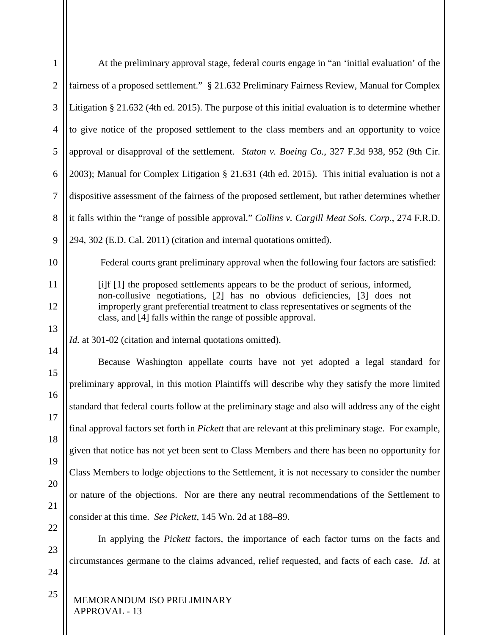| $\mathbf{1}$   | At the preliminary approval stage, federal courts engage in "an 'initial evaluation' of the                                                                    |
|----------------|----------------------------------------------------------------------------------------------------------------------------------------------------------------|
| $\overline{2}$ | fairness of a proposed settlement." § 21.632 Preliminary Fairness Review, Manual for Complex                                                                   |
| 3              | Litigation $\S 21.632$ (4th ed. 2015). The purpose of this initial evaluation is to determine whether                                                          |
| $\overline{4}$ | to give notice of the proposed settlement to the class members and an opportunity to voice                                                                     |
| 5              | approval or disapproval of the settlement. Staton v. Boeing Co., 327 F.3d 938, 952 (9th Cir.                                                                   |
| 6              | 2003); Manual for Complex Litigation § 21.631 (4th ed. 2015). This initial evaluation is not a                                                                 |
| $\tau$         | dispositive assessment of the fairness of the proposed settlement, but rather determines whether                                                               |
| 8              | it falls within the "range of possible approval." Collins v. Cargill Meat Sols. Corp., 274 F.R.D.                                                              |
| 9              | 294, 302 (E.D. Cal. 2011) (citation and internal quotations omitted).                                                                                          |
| 10             | Federal courts grant preliminary approval when the following four factors are satisfied:                                                                       |
| 11             | [i]f [1] the proposed settlements appears to be the product of serious, informed,<br>non-collusive negotiations, [2] has no obvious deficiencies, [3] does not |
| 12             | improperly grant preferential treatment to class representatives or segments of the<br>class, and [4] falls within the range of possible approval.             |
| 13             |                                                                                                                                                                |
| 14             | <i>Id.</i> at 301-02 (citation and internal quotations omitted).                                                                                               |
| 15             | Because Washington appellate courts have not yet adopted a legal standard for                                                                                  |
| 16             | preliminary approval, in this motion Plaintiffs will describe why they satisfy the more limited                                                                |
| 17             | standard that federal courts follow at the preliminary stage and also will address any of the eight                                                            |
| 18             | final approval factors set forth in <i>Pickett</i> that are relevant at this preliminary stage. For example,                                                   |
| 19             | given that notice has not yet been sent to Class Members and there has been no opportunity for                                                                 |
| 20             | Class Members to lodge objections to the Settlement, it is not necessary to consider the number                                                                |
| 21             | or nature of the objections. Nor are there any neutral recommendations of the Settlement to                                                                    |
| 22             | consider at this time. See Pickett, 145 Wn. 2d at 188–89.                                                                                                      |
| 23             | In applying the <i>Pickett</i> factors, the importance of each factor turns on the facts and                                                                   |
| 24             | circumstances germane to the claims advanced, relief requested, and facts of each case. Id. at                                                                 |
| 25             | MEMORANDUM ISO PRELIMINARY<br>APPROVAL - 13                                                                                                                    |

Ш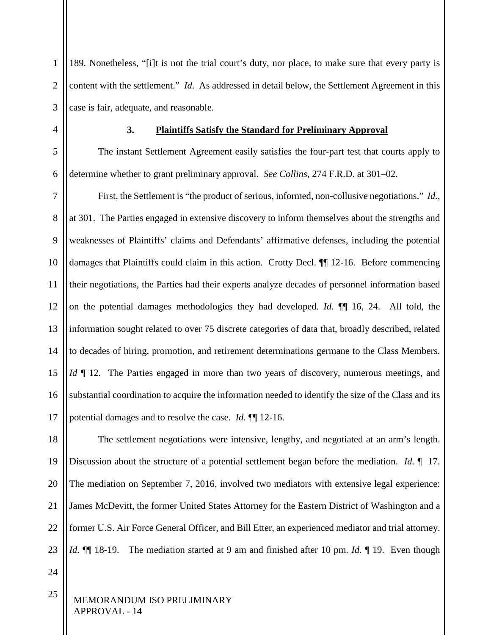1 2 3 189. Nonetheless, "[i]t is not the trial court's duty, nor place, to make sure that every party is content with the settlement." *Id*. As addressed in detail below, the Settlement Agreement in this case is fair, adequate, and reasonable.

<span id="page-20-0"></span>

4

#### **3. Plaintiffs Satisfy the Standard for Preliminary Approval**

5 6 The instant Settlement Agreement easily satisfies the four-part test that courts apply to determine whether to grant preliminary approval. *See Collins*, 274 F.R.D. at 301–02.

7 8 9 10 11 12 13 14 15 16 17 First, the Settlement is "the product of serious, informed, non-collusive negotiations." *Id.*, at 301.The Parties engaged in extensive discovery to inform themselves about the strengths and weaknesses of Plaintiffs' claims and Defendants' affirmative defenses, including the potential damages that Plaintiffs could claim in this action. Crotty Decl. ¶¶ 12-16. Before commencing their negotiations, the Parties had their experts analyze decades of personnel information based on the potential damages methodologies they had developed. *Id.* ¶¶ 16, 24. All told, the information sought related to over 75 discrete categories of data that, broadly described, related to decades of hiring, promotion, and retirement determinations germane to the Class Members. *Id*  $\parallel$  12. The Parties engaged in more than two years of discovery, numerous meetings, and substantial coordination to acquire the information needed to identify the size of the Class and its potential damages and to resolve the case. *Id.* ¶¶ 12-16.

18 19 20 21 22 23 The settlement negotiations were intensive, lengthy, and negotiated at an arm's length. Discussion about the structure of a potential settlement began before the mediation. *Id.* ¶ 17. The mediation on September 7, 2016, involved two mediators with extensive legal experience: James McDevitt, the former United States Attorney for the Eastern District of Washington and a former U.S. Air Force General Officer, and Bill Etter, an experienced mediator and trial attorney. *Id.* ¶¶ 18-19. The mediation started at 9 am and finished after 10 pm. *Id.* ¶ 19. Even though

24

25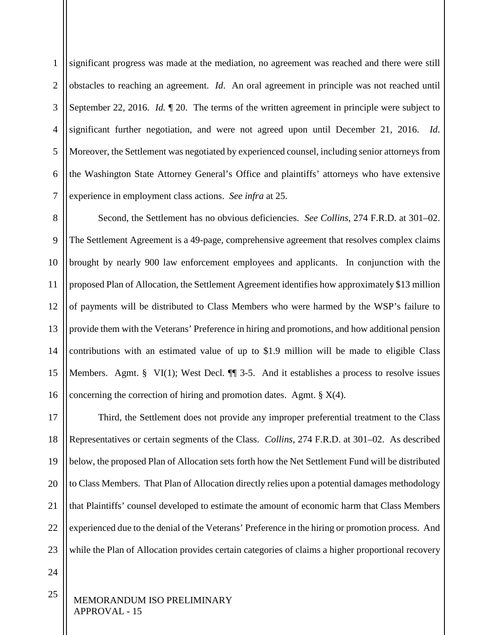1 2 3 4 5 6 7 significant progress was made at the mediation, no agreement was reached and there were still obstacles to reaching an agreement. *Id*. An oral agreement in principle was not reached until September 22, 2016. *Id.* ¶ 20. The terms of the written agreement in principle were subject to significant further negotiation, and were not agreed upon until December 21, 2016. *Id*. Moreover, the Settlement was negotiated by experienced counsel, including senior attorneys from the Washington State Attorney General's Office and plaintiffs' attorneys who have extensive experience in employment class actions. *See infra* at 25.

8 9 10 11 12 13 14 15 16 Second, the Settlement has no obvious deficiencies. *See Collins*, 274 F.R.D. at 301–02. The Settlement Agreement is a 49-page, comprehensive agreement that resolves complex claims brought by nearly 900 law enforcement employees and applicants. In conjunction with the proposed Plan of Allocation, the Settlement Agreement identifies how approximately \$13 million of payments will be distributed to Class Members who were harmed by the WSP's failure to provide them with the Veterans' Preference in hiring and promotions, and how additional pension contributions with an estimated value of up to \$1.9 million will be made to eligible Class Members. Agmt. § VI(1); West Decl.  $\P$  3-5. And it establishes a process to resolve issues concerning the correction of hiring and promotion dates. Agmt.  $\S X(4)$ .

17 18 19 20 21 22 23 Third, the Settlement does not provide any improper preferential treatment to the Class Representatives or certain segments of the Class. *Collins*, 274 F.R.D. at 301–02. As described below, the proposed Plan of Allocation sets forth how the Net Settlement Fund will be distributed to Class Members. That Plan of Allocation directly relies upon a potential damages methodology that Plaintiffs' counsel developed to estimate the amount of economic harm that Class Members experienced due to the denial of the Veterans' Preference in the hiring or promotion process. And while the Plan of Allocation provides certain categories of claims a higher proportional recovery

24

25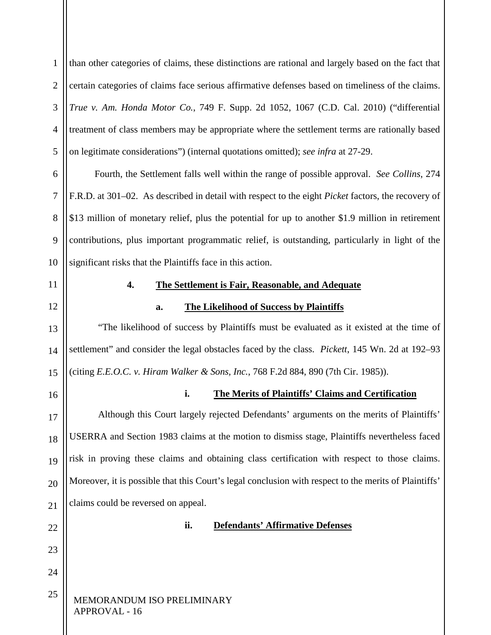<span id="page-22-3"></span><span id="page-22-2"></span><span id="page-22-1"></span><span id="page-22-0"></span>MEMORANDUM ISO PRELIMINARY APPROVAL - 16 1 2 3 4 5 6 7 8 9 10 11 12 13 14 15 16 17 18 19 20 21 22 23 24 25 than other categories of claims, these distinctions are rational and largely based on the fact that certain categories of claims face serious affirmative defenses based on timeliness of the claims. *True v. Am. Honda Motor Co.*, 749 F. Supp. 2d 1052, 1067 (C.D. Cal. 2010) ("differential treatment of class members may be appropriate where the settlement terms are rationally based on legitimate considerations") (internal quotations omitted); *see infra* at 27-29. Fourth, the Settlement falls well within the range of possible approval. *See Collins*, 274 F.R.D. at 301–02. As described in detail with respect to the eight *Picket* factors, the recovery of \$13 million of monetary relief, plus the potential for up to another \$1.9 million in retirement contributions, plus important programmatic relief, is outstanding, particularly in light of the significant risks that the Plaintiffs face in this action. **4. The Settlement is Fair, Reasonable, and Adequate a. The Likelihood of Success by Plaintiffs** "The likelihood of success by Plaintiffs must be evaluated as it existed at the time of settlement" and consider the legal obstacles faced by the class. *Pickett*, 145 Wn. 2d at 192–93 (citing *E.E.O.C. v. Hiram Walker & Sons, Inc.*, 768 F.2d 884, 890 (7th Cir. 1985)). **i. The Merits of Plaintiffs' Claims and Certification**  Although this Court largely rejected Defendants' arguments on the merits of Plaintiffs' USERRA and Section 1983 claims at the motion to dismiss stage, Plaintiffs nevertheless faced risk in proving these claims and obtaining class certification with respect to those claims. Moreover, it is possible that this Court's legal conclusion with respect to the merits of Plaintiffs' claims could be reversed on appeal. **ii. Defendants' Affirmative Defenses**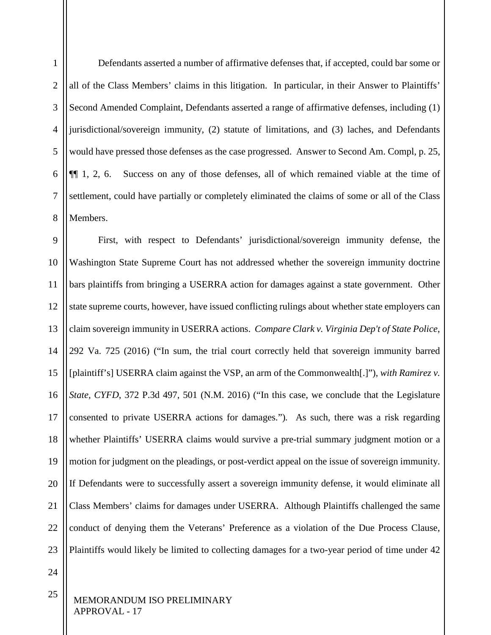1 2 3 4 5 6 7 8 Defendants asserted a number of affirmative defenses that, if accepted, could bar some or all of the Class Members' claims in this litigation. In particular, in their Answer to Plaintiffs' Second Amended Complaint, Defendants asserted a range of affirmative defenses, including (1) jurisdictional/sovereign immunity, (2) statute of limitations, and (3) laches, and Defendants would have pressed those defenses as the case progressed. Answer to Second Am. Compl, p. 25, ¶¶ 1, 2, 6. Success on any of those defenses, all of which remained viable at the time of settlement, could have partially or completely eliminated the claims of some or all of the Class Members.

9 10 11 12 13 14 15 16 17 18 19 20 21 22 23 First, with respect to Defendants' jurisdictional/sovereign immunity defense, the Washington State Supreme Court has not addressed whether the sovereign immunity doctrine bars plaintiffs from bringing a USERRA action for damages against a state government. Other state supreme courts, however, have issued conflicting rulings about whether state employers can claim sovereign immunity in USERRA actions. *Compare Clark v. Virginia Dep't of State Police*, 292 Va. 725 (2016) ("In sum, the trial court correctly held that sovereign immunity barred [plaintiff's] USERRA claim against the VSP, an arm of the Commonwealth[.]"), *with Ramirez v. State, CYFD*, 372 P.3d 497, 501 (N.M. 2016) ("In this case, we conclude that the Legislature consented to private USERRA actions for damages.")*.* As such, there was a risk regarding whether Plaintiffs' USERRA claims would survive a pre-trial summary judgment motion or a motion for judgment on the pleadings, or post-verdict appeal on the issue of sovereign immunity. If Defendants were to successfully assert a sovereign immunity defense, it would eliminate all Class Members' claims for damages under USERRA. Although Plaintiffs challenged the same conduct of denying them the Veterans' Preference as a violation of the Due Process Clause, Plaintiffs would likely be limited to collecting damages for a two-year period of time under 42

24

25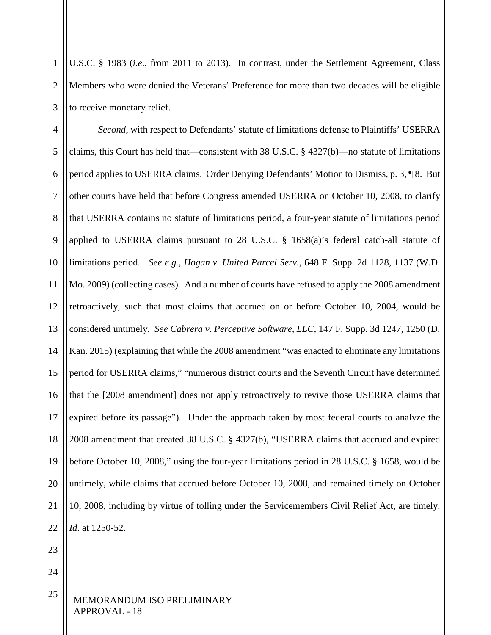1 2 3 U.S.C. § 1983 (*i.e*., from 2011 to 2013). In contrast, under the Settlement Agreement, Class Members who were denied the Veterans' Preference for more than two decades will be eligible to receive monetary relief.

4 5 6 7 8 9 10 11 12 13 14 15 16 17 18 19 20 21 22 *Second*, with respect to Defendants' statute of limitations defense to Plaintiffs' USERRA claims, this Court has held that—consistent with 38 U.S.C.  $\S$  4327(b)—no statute of limitations period applies to USERRA claims. Order Denying Defendants' Motion to Dismiss, p. 3, ¶ 8. But other courts have held that before Congress amended USERRA on October 10, 2008, to clarify that USERRA contains no statute of limitations period, a four-year statute of limitations period applied to USERRA claims pursuant to 28 U.S.C.  $\S$  1658(a)'s federal catch-all statute of limitations period. *See e.g.*, *Hogan v. United Parcel Serv.*, 648 F. Supp. 2d 1128, 1137 (W.D. Mo. 2009) (collecting cases). And a number of courts have refused to apply the 2008 amendment retroactively, such that most claims that accrued on or before October 10, 2004, would be considered untimely. *See Cabrera v. Perceptive Software, LLC*, 147 F. Supp. 3d 1247, 1250 (D. Kan. 2015) (explaining that while the 2008 amendment "was enacted to eliminate any limitations period for USERRA claims," "numerous district courts and the Seventh Circuit have determined that the [2008 amendment] does not apply retroactively to revive those USERRA claims that expired before its passage"). Under the approach taken by most federal courts to analyze the 2008 amendment that created 38 U.S.C. § 4327(b), "USERRA claims that accrued and expired before October 10, 2008," using the four-year limitations period in 28 U.S.C. § 1658, would be untimely, while claims that accrued before October 10, 2008, and remained timely on October 10, 2008, including by virtue of tolling under the Servicemembers Civil Relief Act, are timely. *Id*. at 1250-52.

23

24

25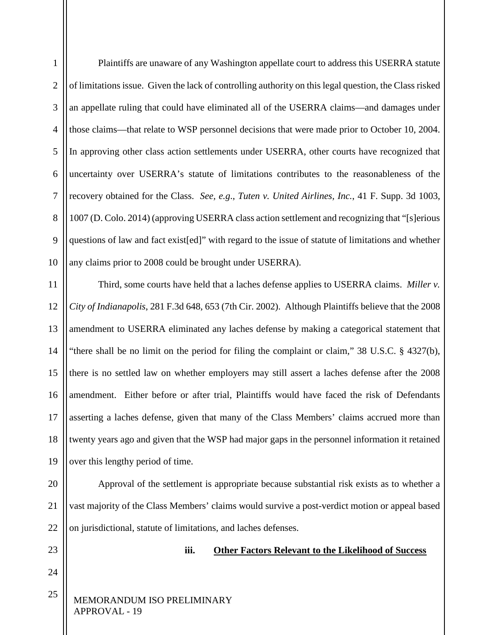1 2 3 4 5 6 7 8 9 10 11 12 13 14 15 16 17 18 19 20 21 Plaintiffs are unaware of any Washington appellate court to address this USERRA statute of limitations issue. Given the lack of controlling authority on this legal question, the Class risked an appellate ruling that could have eliminated all of the USERRA claims—and damages under those claims—that relate to WSP personnel decisions that were made prior to October 10, 2004. In approving other class action settlements under USERRA, other courts have recognized that uncertainty over USERRA's statute of limitations contributes to the reasonableness of the recovery obtained for the Class. *See, e.g*., *Tuten v. United Airlines, Inc.*, 41 F. Supp. 3d 1003, 1007 (D. Colo. 2014) (approving USERRA class action settlement and recognizing that "[s]erious questions of law and fact exist[ed]" with regard to the issue of statute of limitations and whether any claims prior to 2008 could be brought under USERRA). Third, some courts have held that a laches defense applies to USERRA claims. *Miller v. City of Indianapolis*, 281 F.3d 648, 653 (7th Cir. 2002). Although Plaintiffs believe that the 2008 amendment to USERRA eliminated any laches defense by making a categorical statement that "there shall be no limit on the period for filing the complaint or claim," 38 U.S.C. § 4327(b), there is no settled law on whether employers may still assert a laches defense after the 2008 amendment. Either before or after trial, Plaintiffs would have faced the risk of Defendants asserting a laches defense, given that many of the Class Members' claims accrued more than twenty years ago and given that the WSP had major gaps in the personnel information it retained over this lengthy period of time. Approval of the settlement is appropriate because substantial risk exists as to whether a vast majority of the Class Members' claims would survive a post-verdict motion or appeal based

23

24

25

22

**iii. Other Factors Relevant to the Likelihood of Success**

# MEMORANDUM ISO PRELIMINARY APPROVAL - 19

<span id="page-25-0"></span>on jurisdictional, statute of limitations, and laches defenses.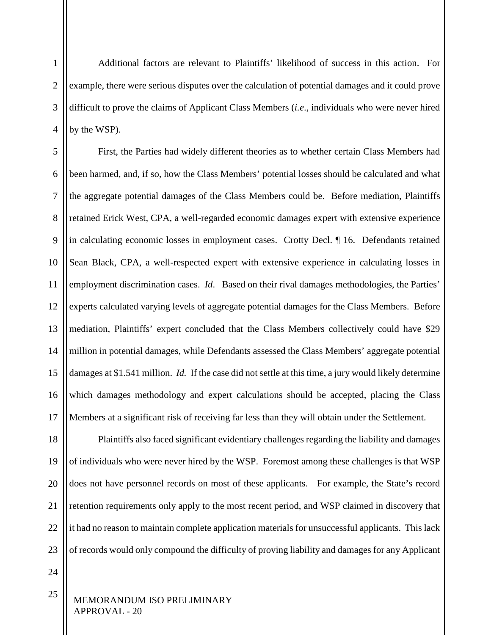Additional factors are relevant to Plaintiffs' likelihood of success in this action. For example, there were serious disputes over the calculation of potential damages and it could prove difficult to prove the claims of Applicant Class Members (*i.e*., individuals who were never hired by the WSP).

5 6 7 8 9 10 11 12 13 14 15 16 17 First, the Parties had widely different theories as to whether certain Class Members had been harmed, and, if so, how the Class Members' potential losses should be calculated and what the aggregate potential damages of the Class Members could be. Before mediation, Plaintiffs retained Erick West, CPA, a well-regarded economic damages expert with extensive experience in calculating economic losses in employment cases. Crotty Decl. ¶ 16. Defendants retained Sean Black, CPA, a well-respected expert with extensive experience in calculating losses in employment discrimination cases. *Id*. Based on their rival damages methodologies, the Parties' experts calculated varying levels of aggregate potential damages for the Class Members. Before mediation, Plaintiffs' expert concluded that the Class Members collectively could have \$29 million in potential damages, while Defendants assessed the Class Members' aggregate potential damages at \$1.541 million. *Id.* If the case did not settle at this time, a jury would likely determine which damages methodology and expert calculations should be accepted, placing the Class Members at a significant risk of receiving far less than they will obtain under the Settlement.

18 19 20 21 22 23 Plaintiffs also faced significant evidentiary challenges regarding the liability and damages of individuals who were never hired by the WSP. Foremost among these challenges is that WSP does not have personnel records on most of these applicants. For example, the State's record retention requirements only apply to the most recent period, and WSP claimed in discovery that it had no reason to maintain complete application materials for unsuccessful applicants. This lack of records would only compound the difficulty of proving liability and damages for any Applicant

24

25

1

2

3

4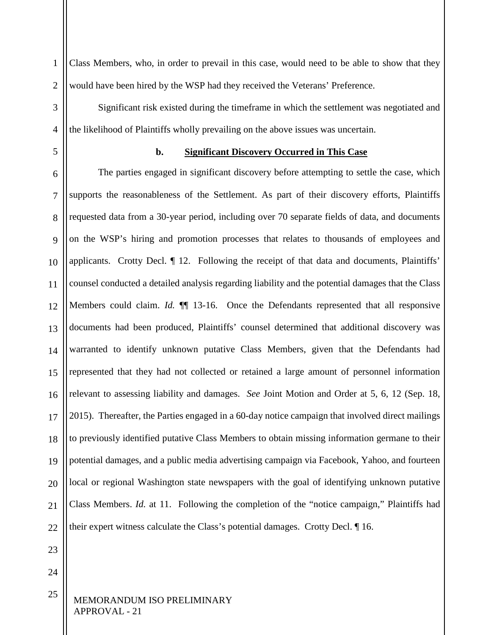1 2 Class Members, who, in order to prevail in this case, would need to be able to show that they would have been hired by the WSP had they received the Veterans' Preference.

Significant risk existed during the timeframe in which the settlement was negotiated and the likelihood of Plaintiffs wholly prevailing on the above issues was uncertain.

<span id="page-27-0"></span>5

3

4

# **b. Significant Discovery Occurred in This Case**

6 7 8 9 10 11 12 13 14 15 16 17 18 19 20 21  $22$ The parties engaged in significant discovery before attempting to settle the case, which supports the reasonableness of the Settlement. As part of their discovery efforts, Plaintiffs requested data from a 30-year period, including over 70 separate fields of data, and documents on the WSP's hiring and promotion processes that relates to thousands of employees and applicants. Crotty Decl. ¶ 12. Following the receipt of that data and documents, Plaintiffs' counsel conducted a detailed analysis regarding liability and the potential damages that the Class Members could claim. *Id.* **[1]** 13-16. Once the Defendants represented that all responsive documents had been produced, Plaintiffs' counsel determined that additional discovery was warranted to identify unknown putative Class Members, given that the Defendants had represented that they had not collected or retained a large amount of personnel information relevant to assessing liability and damages. *See* Joint Motion and Order at 5, 6, 12 (Sep. 18, 2015). Thereafter, the Parties engaged in a 60-day notice campaign that involved direct mailings to previously identified putative Class Members to obtain missing information germane to their potential damages, and a public media advertising campaign via Facebook, Yahoo, and fourteen local or regional Washington state newspapers with the goal of identifying unknown putative Class Members. *Id.* at 11. Following the completion of the "notice campaign," Plaintiffs had their expert witness calculate the Class's potential damages. Crotty Decl. ¶ 16.

23

24

25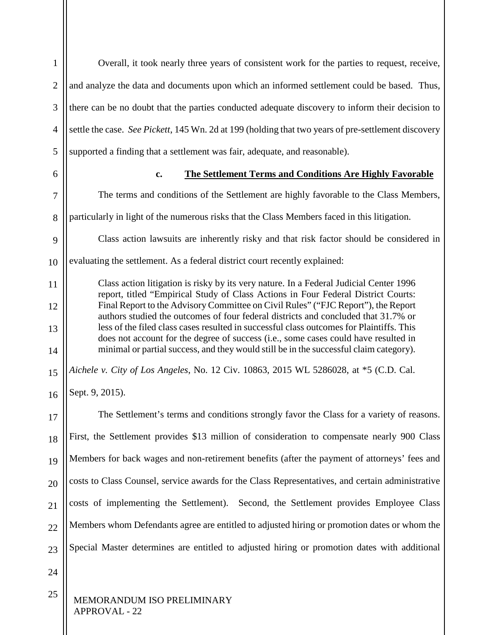<span id="page-28-0"></span>MEMORANDUM ISO PRELIMINARY APPROVAL - 22 1 2 3 4 5 6 7 8 9 10 11 12 13 14 15 16 17 18 19 20 21  $22$ 23 24 25 Overall, it took nearly three years of consistent work for the parties to request, receive, and analyze the data and documents upon which an informed settlement could be based. Thus, there can be no doubt that the parties conducted adequate discovery to inform their decision to settle the case. *See Pickett*, 145 Wn. 2d at 199 (holding that two years of pre-settlement discovery supported a finding that a settlement was fair, adequate, and reasonable). **c. The Settlement Terms and Conditions Are Highly Favorable** The terms and conditions of the Settlement are highly favorable to the Class Members, particularly in light of the numerous risks that the Class Members faced in this litigation. Class action lawsuits are inherently risky and that risk factor should be considered in evaluating the settlement. As a federal district court recently explained: Class action litigation is risky by its very nature. In a Federal Judicial Center 1996 report, titled "Empirical Study of Class Actions in Four Federal District Courts: Final Report to the Advisory Committee on Civil Rules" ("FJC Report"), the Report authors studied the outcomes of four federal districts and concluded that 31.7% or less of the filed class cases resulted in successful class outcomes for Plaintiffs. This does not account for the degree of success (i.e., some cases could have resulted in minimal or partial success, and they would still be in the successful claim category). *Aichele v. City of Los Angeles*, No. 12 Civ. 10863, 2015 WL 5286028, at \*5 (C.D. Cal. Sept. 9, 2015). The Settlement's terms and conditions strongly favor the Class for a variety of reasons. First, the Settlement provides \$13 million of consideration to compensate nearly 900 Class Members for back wages and non-retirement benefits (after the payment of attorneys' fees and costs to Class Counsel, service awards for the Class Representatives, and certain administrative costs of implementing the Settlement). Second, the Settlement provides Employee Class Members whom Defendants agree are entitled to adjusted hiring or promotion dates or whom the Special Master determines are entitled to adjusted hiring or promotion dates with additional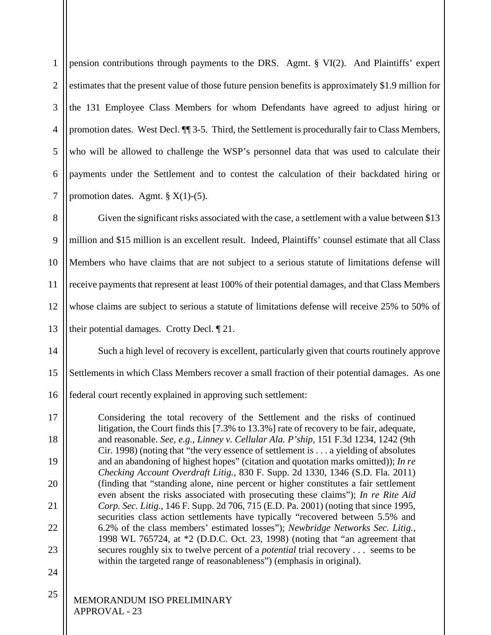1 2 3 4 5 6 7 pension contributions through payments to the DRS. Agmt. § VI(2). And Plaintiffs' expert estimates that the present value of those future pension benefits is approximately \$1.9 million for the 131 Employee Class Members for whom Defendants have agreed to adjust hiring or promotion dates. West Decl. ¶¶ 3-5. Third, the Settlement is procedurally fair to Class Members, who will be allowed to challenge the WSP's personnel data that was used to calculate their payments under the Settlement and to contest the calculation of their backdated hiring or promotion dates. Agmt.  $\S X(1)-(5)$ .

8 9 10 11 12 13 Given the significant risks associated with the case, a settlement with a value between \$13 million and \$15 million is an excellent result. Indeed, Plaintiffs' counsel estimate that all Class Members who have claims that are not subject to a serious statute of limitations defense will receive payments that represent at least 100% of their potential damages, and that Class Members whose claims are subject to serious a statute of limitations defense will receive 25% to 50% of their potential damages. Crotty Decl. ¶ 21.

14 15 16 Such a high level of recovery is excellent, particularly given that courts routinely approve Settlements in which Class Members recover a small fraction of their potential damages. As one federal court recently explained in approving such settlement:

17 18 19 20 21 22 23 Considering the total recovery of the Settlement and the risks of continued litigation, the Court finds this [7.3% to 13.3%] rate of recovery to be fair, adequate, and reasonable. *See, e.g.*, *Linney v. Cellular Ala. P'ship,* 151 F.3d 1234, 1242 (9th Cir. 1998) (noting that "the very essence of settlement is . . . a yielding of absolutes and an abandoning of highest hopes" (citation and quotation marks omitted)); *In re Checking Account Overdraft Litig.,* 830 F. Supp. 2d 1330, 1346 (S.D. Fla. 2011) (finding that "standing alone, nine percent or higher constitutes a fair settlement even absent the risks associated with prosecuting these claims"); *In re Rite Aid Corp. Sec. Litig.*, 146 F. Supp. 2d 706, 715 (E.D. Pa. 2001) (noting that since 1995, securities class action settlements have typically "recovered between 5.5% and 6.2% of the class members' estimated losses"); *Newbridge Networks Sec. Litig.*, 1998 WL 765724, at \*2 (D.D.C. Oct. 23, 1998) (noting that "an agreement that secures roughly six to twelve percent of a *potential* trial recovery . . . seems to be within the targeted range of reasonableness") (emphasis in original).

24

25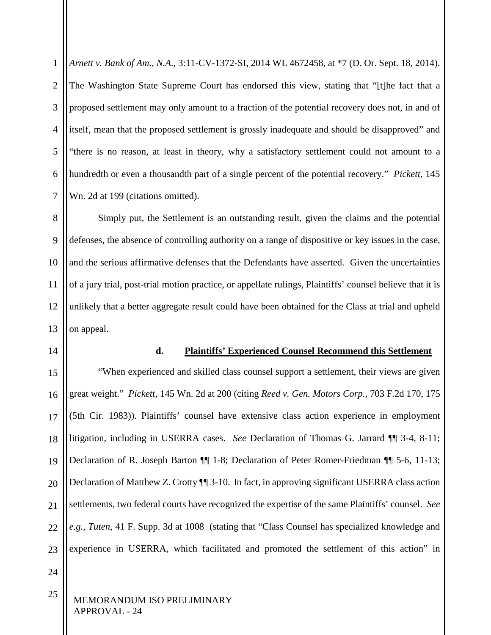1 2 3 4 5 6 7 *Arnett v. Bank of Am., N.A.*, 3:11-CV-1372-SI, 2014 WL 4672458, at \*7 (D. Or. Sept. 18, 2014). The Washington State Supreme Court has endorsed this view, stating that "[t]he fact that a proposed settlement may only amount to a fraction of the potential recovery does not, in and of itself, mean that the proposed settlement is grossly inadequate and should be disapproved" and "there is no reason, at least in theory, why a satisfactory settlement could not amount to a hundredth or even a thousandth part of a single percent of the potential recovery." *Pickett*, 145 Wn. 2d at 199 (citations omitted).

8 9 10 11 12 13 Simply put, the Settlement is an outstanding result, given the claims and the potential defenses, the absence of controlling authority on a range of dispositive or key issues in the case, and the serious affirmative defenses that the Defendants have asserted. Given the uncertainties of a jury trial, post-trial motion practice, or appellate rulings, Plaintiffs' counsel believe that it is unlikely that a better aggregate result could have been obtained for the Class at trial and upheld on appeal.

<span id="page-30-0"></span>14

#### **d. Plaintiffs' Experienced Counsel Recommend this Settlement**

15 16 17 18 19 20 21  $22$ 23 "When experienced and skilled class counsel support a settlement, their views are given great weight." *Pickett*, 145 Wn. 2d at 200 (citing *Reed v. Gen. Motors Corp.*, 703 F.2d 170, 175 (5th Cir. 1983)). Plaintiffs' counsel have extensive class action experience in employment litigation, including in USERRA cases. *See* Declaration of Thomas G. Jarrard ¶¶ 3-4, 8-11; Declaration of R. Joseph Barton ¶¶ 1-8; Declaration of Peter Romer-Friedman ¶¶ 5-6, 11-13; Declaration of Matthew Z. Crotty  $\P$  3-10. In fact, in approving significant USERRA class action settlements, two federal courts have recognized the expertise of the same Plaintiffs' counsel. *See e.g.*, *Tuten*, 41 F. Supp. 3d at 1008 (stating that "Class Counsel has specialized knowledge and experience in USERRA, which facilitated and promoted the settlement of this action" in

24

25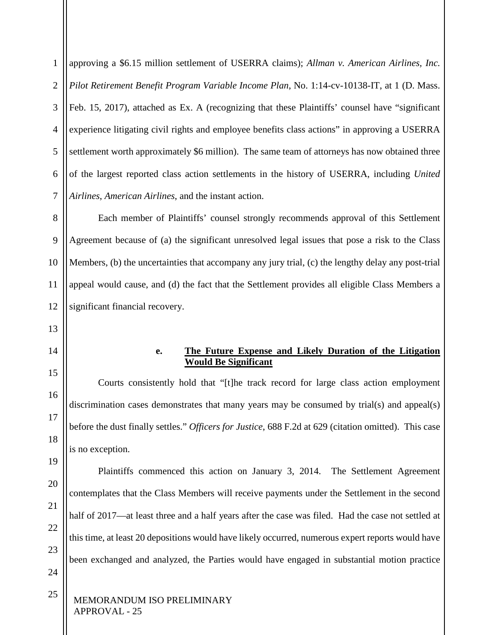1 2 3 4 5 6 7 approving a \$6.15 million settlement of USERRA claims); *Allman v. American Airlines, Inc. Pilot Retirement Benefit Program Variable Income Plan*, No. 1:14-cv-10138-IT, at 1 (D. Mass. Feb. 15, 2017), attached as Ex. A (recognizing that these Plaintiffs' counsel have "significant experience litigating civil rights and employee benefits class actions" in approving a USERRA settlement worth approximately \$6 million). The same team of attorneys has now obtained three of the largest reported class action settlements in the history of USERRA, including *United Airlines*, *American Airlines*, and the instant action.

8 9 10 11 12 Each member of Plaintiffs' counsel strongly recommends approval of this Settlement Agreement because of (a) the significant unresolved legal issues that pose a risk to the Class Members, (b) the uncertainties that accompany any jury trial, (c) the lengthy delay any post-trial appeal would cause, and (d) the fact that the Settlement provides all eligible Class Members a significant financial recovery.

- 13
- <span id="page-31-0"></span>14 15

16

17

18

19

20

21

22

23

# **e. The Future Expense and Likely Duration of the Litigation Would Be Significant**

Courts consistently hold that "[t]he track record for large class action employment discrimination cases demonstrates that many years may be consumed by trial(s) and appeal(s) before the dust finally settles." *Officers for Justice*, 688 F.2d at 629 (citation omitted). This case is no exception.

Plaintiffs commenced this action on January 3, 2014. The Settlement Agreement contemplates that the Class Members will receive payments under the Settlement in the second half of 2017—at least three and a half years after the case was filed. Had the case not settled at this time, at least 20 depositions would have likely occurred, numerous expert reports would have been exchanged and analyzed, the Parties would have engaged in substantial motion practice

24 25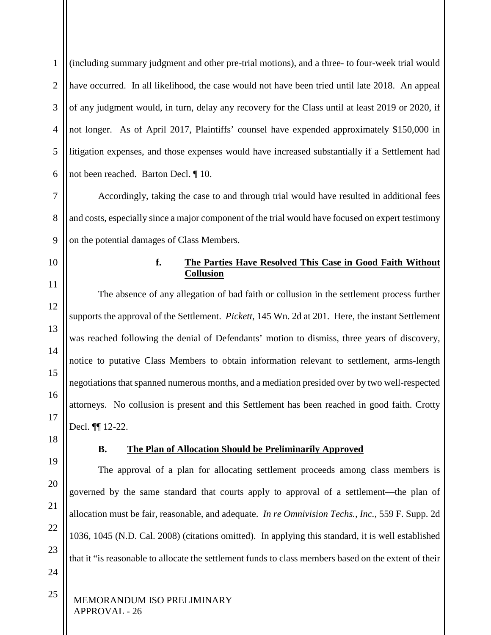1 2 3 4 5 6 (including summary judgment and other pre-trial motions), and a three- to four-week trial would have occurred. In all likelihood, the case would not have been tried until late 2018. An appeal of any judgment would, in turn, delay any recovery for the Class until at least 2019 or 2020, if not longer. As of April 2017, Plaintiffs' counsel have expended approximately \$150,000 in litigation expenses, and those expenses would have increased substantially if a Settlement had not been reached. Barton Decl. ¶ 10.

7 8 9 Accordingly, taking the case to and through trial would have resulted in additional fees and costs, especially since a major component of the trial would have focused on expert testimony on the potential damages of Class Members.

# **f. The Parties Have Resolved This Case in Good Faith Without Collusion**

The absence of any allegation of bad faith or collusion in the settlement process further supports the approval of the Settlement. *Pickett*, 145 Wn. 2d at 201. Here, the instant Settlement was reached following the denial of Defendants' motion to dismiss, three years of discovery, notice to putative Class Members to obtain information relevant to settlement, arms-length negotiations that spanned numerous months, and a mediation presided over by two well-respected attorneys. No collusion is present and this Settlement has been reached in good faith. Crotty Decl. ¶¶ 12-22.

# **B. The Plan of Allocation Should be Preliminarily Approved**

The approval of a plan for allocating settlement proceeds among class members is governed by the same standard that courts apply to approval of a settlement—the plan of allocation must be fair, reasonable, and adequate. *In re Omnivision Techs., Inc.*, 559 F. Supp. 2d 1036, 1045 (N.D. Cal. 2008) (citations omitted).In applying this standard, it is well established that it "is reasonable to allocate the settlement funds to class members based on the extent of their

MEMORANDUM ISO PRELIMINARY APPROVAL - 26

<span id="page-32-1"></span>18

19

<span id="page-32-0"></span>10

11

12

13

- 20 21 22
- 24

25

23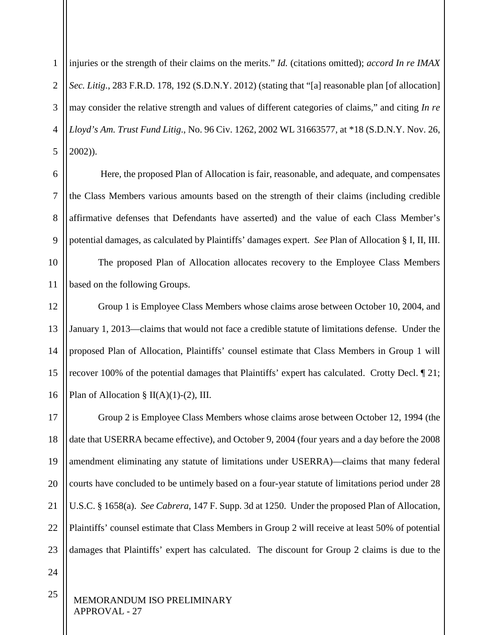1 2 3 4 5 injuries or the strength of their claims on the merits." *Id.* (citations omitted); *accord In re IMAX Sec. Litig.*, 283 F.R.D. 178, 192 (S.D.N.Y. 2012) (stating that "[a] reasonable plan [of allocation] may consider the relative strength and values of different categories of claims," and citing *In re Lloyd's Am. Trust Fund Litig*., No. 96 Civ. 1262, 2002 WL 31663577, at \*18 (S.D.N.Y. Nov. 26, 2002)).

6 7 8 9 Here, the proposed Plan of Allocation is fair, reasonable, and adequate, and compensates the Class Members various amounts based on the strength of their claims (including credible affirmative defenses that Defendants have asserted) and the value of each Class Member's potential damages, as calculated by Plaintiffs' damages expert. *See* Plan of Allocation § I, II, III.

10 11 The proposed Plan of Allocation allocates recovery to the Employee Class Members based on the following Groups.

12 13 14 15 16 Group 1 is Employee Class Members whose claims arose between October 10, 2004, and January 1, 2013—claims that would not face a credible statute of limitations defense. Under the proposed Plan of Allocation, Plaintiffs' counsel estimate that Class Members in Group 1 will recover 100% of the potential damages that Plaintiffs' expert has calculated. Crotty Decl. ¶ 21; Plan of Allocation §  $II(A)(1)-(2)$ , III.

17 18 19 20 21 22 23 Group 2 is Employee Class Members whose claims arose between October 12, 1994 (the date that USERRA became effective), and October 9, 2004 (four years and a day before the 2008 amendment eliminating any statute of limitations under USERRA)—claims that many federal courts have concluded to be untimely based on a four-year statute of limitations period under 28 U.S.C. § 1658(a). *See Cabrera*, 147 F. Supp. 3d at 1250. Under the proposed Plan of Allocation, Plaintiffs' counsel estimate that Class Members in Group 2 will receive at least 50% of potential damages that Plaintiffs' expert has calculated. The discount for Group 2 claims is due to the

24

25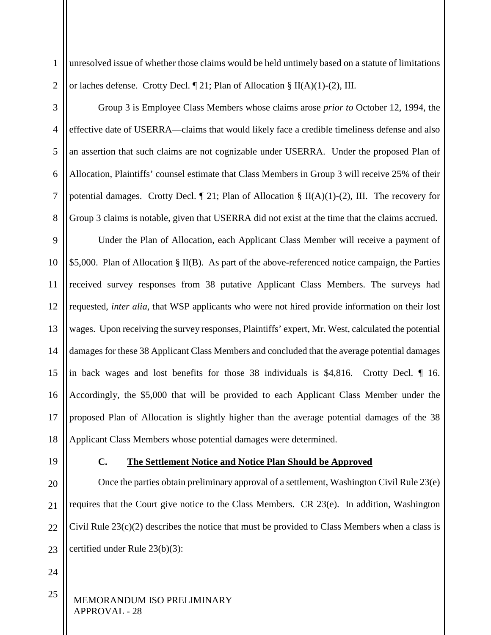unresolved issue of whether those claims would be held untimely based on a statute of limitations or laches defense. Crotty Decl. ¶ 21; Plan of Allocation § II(A)(1)-(2), III.

3 4 5 6 7 8 Group 3 is Employee Class Members whose claims arose *prior to* October 12, 1994, the effective date of USERRA—claims that would likely face a credible timeliness defense and also an assertion that such claims are not cognizable under USERRA. Under the proposed Plan of Allocation, Plaintiffs' counsel estimate that Class Members in Group 3 will receive 25% of their potential damages. Crotty Decl.  $\P$  21; Plan of Allocation § II(A)(1)-(2), III. The recovery for Group 3 claims is notable, given that USERRA did not exist at the time that the claims accrued.

9 10 11 12 13 14 15 16 17 18 Under the Plan of Allocation, each Applicant Class Member will receive a payment of \$5,000. Plan of Allocation § II(B). As part of the above-referenced notice campaign, the Parties received survey responses from 38 putative Applicant Class Members. The surveys had requested, *inter alia*, that WSP applicants who were not hired provide information on their lost wages. Upon receiving the survey responses, Plaintiffs' expert, Mr. West, calculated the potential damages for these 38 Applicant Class Members and concluded that the average potential damages in back wages and lost benefits for those 38 individuals is \$4,816. Crotty Decl. ¶ 16. Accordingly, the \$5,000 that will be provided to each Applicant Class Member under the proposed Plan of Allocation is slightly higher than the average potential damages of the 38 Applicant Class Members whose potential damages were determined.

<span id="page-34-0"></span>19

1

2

# **C. The Settlement Notice and Notice Plan Should be Approved**

20 21  $22$ 23 Once the parties obtain preliminary approval of a settlement, Washington Civil Rule 23(e) requires that the Court give notice to the Class Members. CR 23(e). In addition, Washington Civil Rule  $23(c)(2)$  describes the notice that must be provided to Class Members when a class is certified under Rule 23(b)(3):

24

25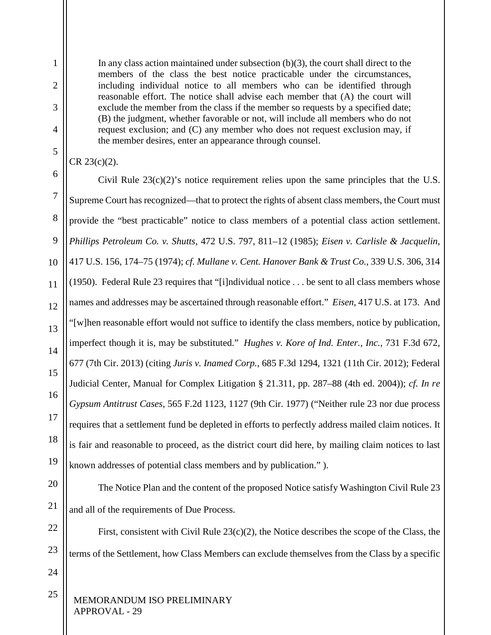In any class action maintained under subsection (b)(3), the court shall direct to the members of the class the best notice practicable under the circumstances, including individual notice to all members who can be identified through reasonable effort. The notice shall advise each member that (A) the court will exclude the member from the class if the member so requests by a specified date; (B) the judgment, whether favorable or not, will include all members who do not request exclusion; and (C) any member who does not request exclusion may, if the member desires, enter an appearance through counsel.

CR 23(c)(2).

1

2

3

4

5

6

7

8

9

11

12

13

14

15

17

18

19

10 16 Civil Rule  $23(c)(2)$ 's notice requirement relies upon the same principles that the U.S. Supreme Court has recognized—that to protect the rights of absent class members, the Court must provide the "best practicable" notice to class members of a potential class action settlement. *Phillips Petroleum Co. v. Shutts*, 472 U.S. 797, 811–12 (1985); *Eisen v. Carlisle & Jacquelin*, 417 U.S. 156, 174–75 (1974); *cf. Mullane v. Cent. Hanover Bank & Trust Co.*, 339 U.S. 306, 314 (1950). Federal Rule 23 requires that "[i]ndividual notice . . . be sent to all class members whose names and addresses may be ascertained through reasonable effort." *Eisen*, 417 U.S. at 173. And "[w]hen reasonable effort would not suffice to identify the class members, notice by publication, imperfect though it is, may be substituted." *Hughes v. Kore of Ind. Enter., Inc.*, 731 F.3d 672, 677 (7th Cir. 2013) (citing *Juris v. Inamed Corp.*, 685 F.3d 1294, 1321 (11th Cir. 2012); Federal Judicial Center, Manual for Complex Litigation § 21.311, pp. 287–88 (4th ed. 2004)); *cf. In re Gypsum Antitrust Cases*, 565 F.2d 1123, 1127 (9th Cir. 1977) ("Neither rule 23 nor due process requires that a settlement fund be depleted in efforts to perfectly address mailed claim notices. It is fair and reasonable to proceed, as the district court did here, by mailing claim notices to last known addresses of potential class members and by publication." ).

20

21

The Notice Plan and the content of the proposed Notice satisfy Washington Civil Rule 23 and all of the requirements of Due Process.

22 23 First, consistent with Civil Rule 23(c)(2), the Notice describes the scope of the Class, the terms of the Settlement, how Class Members can exclude themselves from the Class by a specific

24

25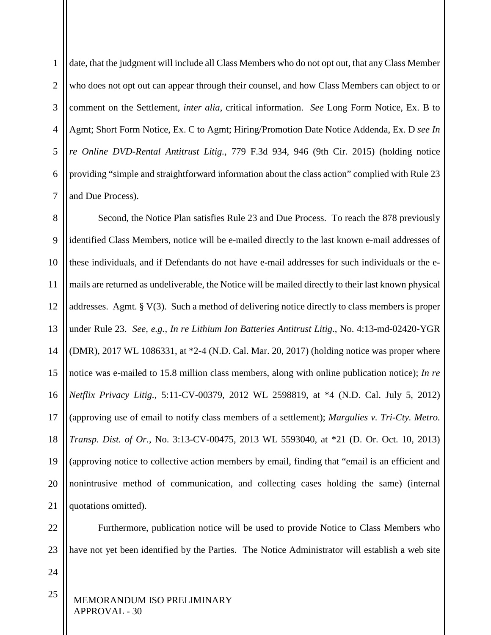1 2 3 4 5 6 7 date, that the judgment will include all Class Members who do not opt out, that any Class Member who does not opt out can appear through their counsel, and how Class Members can object to or comment on the Settlement, *inter alia*, critical information. *See* Long Form Notice, Ex. B to Agmt; Short Form Notice, Ex. C to Agmt; Hiring/Promotion Date Notice Addenda, Ex. D *see In re Online DVD-Rental Antitrust Litig.*, 779 F.3d 934, 946 (9th Cir. 2015) (holding notice providing "simple and straightforward information about the class action" complied with Rule 23 and Due Process).

8 9 10 11 12 13 14 15 16 17 18 19 20 21 Second, the Notice Plan satisfies Rule 23 and Due Process. To reach the 878 previously identified Class Members, notice will be e-mailed directly to the last known e-mail addresses of these individuals, and if Defendants do not have e-mail addresses for such individuals or the emails are returned as undeliverable, the Notice will be mailed directly to their last known physical addresses. Agmt. § V(3). Such a method of delivering notice directly to class members is proper under Rule 23. *See, e.g.*, *In re Lithium Ion Batteries Antitrust Litig*., No. 4:13-md-02420-YGR (DMR), 2017 WL 1086331, at \*2-4 (N.D. Cal. Mar. 20, 2017) (holding notice was proper where notice was e-mailed to 15.8 million class members, along with online publication notice); *In re Netflix Privacy Litig.*, 5:11-CV-00379, 2012 WL 2598819, at \*4 (N.D. Cal. July 5, 2012) (approving use of email to notify class members of a settlement); *Margulies v. Tri-Cty. Metro. Transp. Dist. of Or.*, No. 3:13-CV-00475, 2013 WL 5593040, at \*21 (D. Or. Oct. 10, 2013) (approving notice to collective action members by email, finding that "email is an efficient and nonintrusive method of communication, and collecting cases holding the same) (internal quotations omitted).

22 23 Furthermore, publication notice will be used to provide Notice to Class Members who have not yet been identified by the Parties. The Notice Administrator will establish a web site

24

25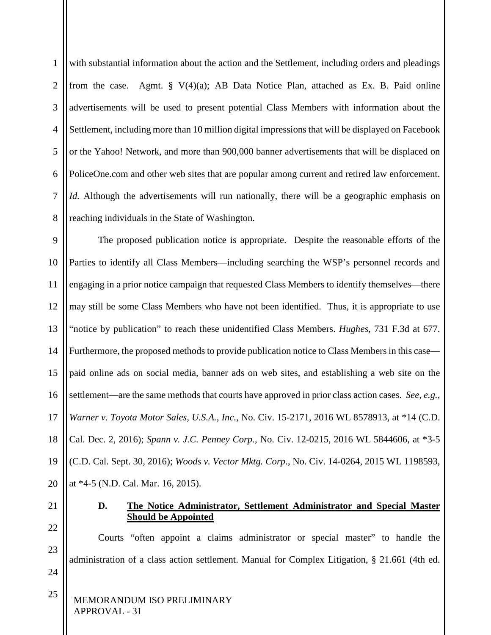1 2 3 4 5 6 7 8 with substantial information about the action and the Settlement, including orders and pleadings from the case. Agmt.  $\S V(4)(a)$ ; AB Data Notice Plan, attached as Ex. B. Paid online advertisements will be used to present potential Class Members with information about the Settlement, including more than 10 million digital impressions that will be displayed on Facebook or the Yahoo! Network, and more than 900,000 banner advertisements that will be displaced on PoliceOne.com and other web sites that are popular among current and retired law enforcement. *Id.* Although the advertisements will run nationally, there will be a geographic emphasis on reaching individuals in the State of Washington.

9 10 11 12 13 14 15 16 17 18 19 20 The proposed publication notice is appropriate. Despite the reasonable efforts of the Parties to identify all Class Members—including searching the WSP's personnel records and engaging in a prior notice campaign that requested Class Members to identify themselves—there may still be some Class Members who have not been identified. Thus, it is appropriate to use "notice by publication" to reach these unidentified Class Members. *Hughes*, 731 F.3d at 677. Furthermore, the proposed methods to provide publication notice to Class Members in this case paid online ads on social media, banner ads on web sites, and establishing a web site on the settlement—are the same methods that courts have approved in prior class action cases. *See, e.g.*, *Warner v. Toyota Motor Sales, U.S.A., Inc.*, No. Civ. 15-2171, 2016 WL 8578913, at \*14 (C.D. Cal. Dec. 2, 2016); *Spann v. J.C. Penney Corp.*, No. Civ. 12-0215, 2016 WL 5844606, at \*3-5 (C.D. Cal. Sept. 30, 2016); *Woods v. Vector Mktg. Corp*., No. Civ. 14-0264, 2015 WL 1198593, at \*4-5 (N.D. Cal. Mar. 16, 2015).

<span id="page-37-0"></span>21 22

23

24

25

#### **D. The Notice Administrator, Settlement Administrator and Special Master Should be Appointed**

Courts "often appoint a claims administrator or special master" to handle the administration of a class action settlement. Manual for Complex Litigation, § 21.661 (4th ed.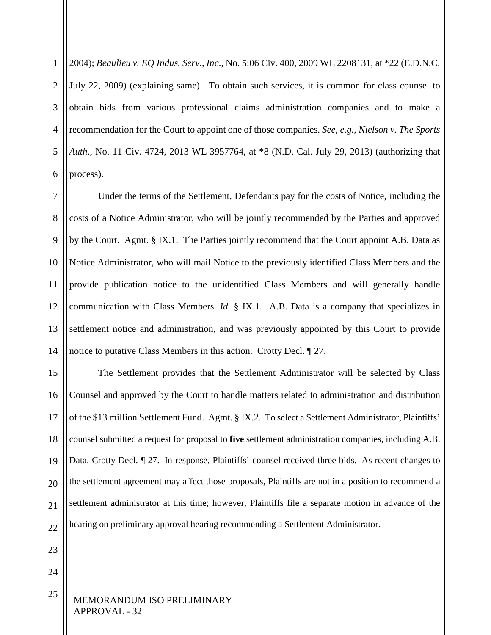1 2 3 4 5 6 2004); *Beaulieu v. EQ Indus. Serv., Inc*., No. 5:06 Civ. 400, 2009 WL 2208131, at \*22 (E.D.N.C. July 22, 2009) (explaining same). To obtain such services, it is common for class counsel to obtain bids from various professional claims administration companies and to make a recommendation for the Court to appoint one of those companies. *See, e.g.*, *Nielson v. The Sports Auth*., No. 11 Civ. 4724, 2013 WL 3957764, at \*8 (N.D. Cal. July 29, 2013) (authorizing that process).

7 8 9 10 11 12 13 14 Under the terms of the Settlement, Defendants pay for the costs of Notice, including the costs of a Notice Administrator, who will be jointly recommended by the Parties and approved by the Court. Agmt. § IX.1. The Parties jointly recommend that the Court appoint A.B. Data as Notice Administrator, who will mail Notice to the previously identified Class Members and the provide publication notice to the unidentified Class Members and will generally handle communication with Class Members. *Id.* § IX.1. A.B. Data is a company that specializes in settlement notice and administration, and was previously appointed by this Court to provide notice to putative Class Members in this action. Crotty Decl. ¶ 27.

15 16 17 18 19 20 21  $22$ The Settlement provides that the Settlement Administrator will be selected by Class Counsel and approved by the Court to handle matters related to administration and distribution of the \$13 million Settlement Fund. Agmt. § IX.2. To select a Settlement Administrator, Plaintiffs' counsel submitted a request for proposal to **five** settlement administration companies, including A.B. Data. Crotty Decl. ¶ 27. In response, Plaintiffs' counsel received three bids. As recent changes to the settlement agreement may affect those proposals, Plaintiffs are not in a position to recommend a settlement administrator at this time; however, Plaintiffs file a separate motion in advance of the hearing on preliminary approval hearing recommending a Settlement Administrator.

23

24

25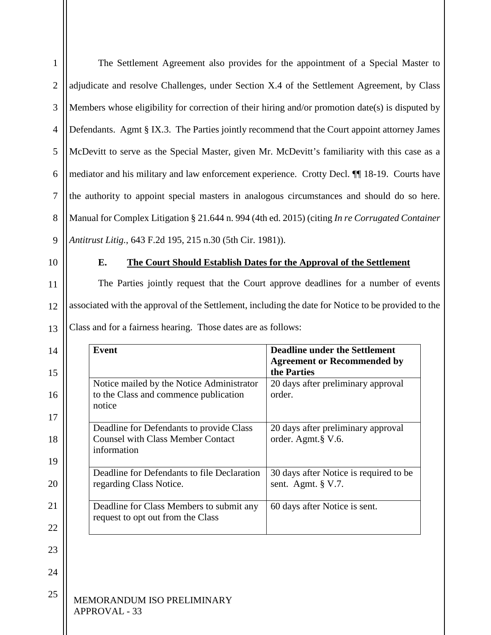<span id="page-39-0"></span>

| 1              | The Settlement Agreement also provides for the appointment of a Special Master to                   |                                                                                     |  |
|----------------|-----------------------------------------------------------------------------------------------------|-------------------------------------------------------------------------------------|--|
| $\overline{2}$ | adjudicate and resolve Challenges, under Section X.4 of the Settlement Agreement, by Class          |                                                                                     |  |
| 3              | Members whose eligibility for correction of their hiring and/or promotion date(s) is disputed by    |                                                                                     |  |
| $\overline{4}$ | Defendants. Agmt § IX.3. The Parties jointly recommend that the Court appoint attorney James        |                                                                                     |  |
| 5              | McDevitt to serve as the Special Master, given Mr. McDevitt's familiarity with this case as a       |                                                                                     |  |
| 6              | mediator and his military and law enforcement experience. Crotty Decl. II 18-19. Courts have        |                                                                                     |  |
| $\tau$         | the authority to appoint special masters in analogous circumstances and should do so here.          |                                                                                     |  |
| 8              | Manual for Complex Litigation § 21.644 n. 994 (4th ed. 2015) (citing In re Corrugated Container     |                                                                                     |  |
| 9              | Antitrust Litig., 643 F.2d 195, 215 n.30 (5th Cir. 1981)).                                          |                                                                                     |  |
| 10             | E.                                                                                                  | The Court Should Establish Dates for the Approval of the Settlement                 |  |
| 11             |                                                                                                     | The Parties jointly request that the Court approve deadlines for a number of events |  |
| 12             | associated with the approval of the Settlement, including the date for Notice to be provided to the |                                                                                     |  |
| 13             | Class and for a fairness hearing. Those dates are as follows:                                       |                                                                                     |  |
|                |                                                                                                     |                                                                                     |  |
| 14             | <b>Event</b>                                                                                        | <b>Deadline under the Settlement</b><br><b>Agreement or Recommended by</b>          |  |
| 15<br>16       | Notice mailed by the Notice Administrator<br>to the Class and commence publication<br>notice        | the Parties<br>20 days after preliminary approval<br>order.                         |  |
| 17<br>18       | Deadline for Defendants to provide Class<br><b>Counsel with Class Member Contact</b><br>information | 20 days after preliminary approval<br>order. Agmt.§ V.6.                            |  |
| 19<br>20       | Deadline for Defendants to file Declaration<br>regarding Class Notice.                              | 30 days after Notice is required to be<br>sent. Agmt. § V.7.                        |  |
| 21             | Deadline for Class Members to submit any                                                            | 60 days after Notice is sent.                                                       |  |
| 22             | request to opt out from the Class                                                                   |                                                                                     |  |
| 23             |                                                                                                     |                                                                                     |  |
| 24             |                                                                                                     |                                                                                     |  |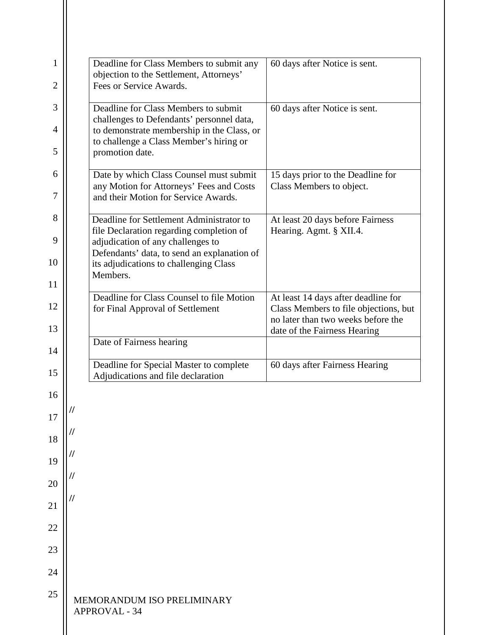| 1              | Deadline for Class Members to submit any<br>objection to the Settlement, Attorneys'   | 60 days after Notice is sent.                                               |
|----------------|---------------------------------------------------------------------------------------|-----------------------------------------------------------------------------|
| $\overline{2}$ | Fees or Service Awards.                                                               |                                                                             |
| 3              | Deadline for Class Members to submit<br>challenges to Defendants' personnel data,     | 60 days after Notice is sent.                                               |
| $\overline{4}$ | to demonstrate membership in the Class, or<br>to challenge a Class Member's hiring or |                                                                             |
| 5              | promotion date.                                                                       |                                                                             |
| 6              | Date by which Class Counsel must submit<br>any Motion for Attorneys' Fees and Costs   | 15 days prior to the Deadline for<br>Class Members to object.               |
| 7              | and their Motion for Service Awards.                                                  |                                                                             |
| 8              | Deadline for Settlement Administrator to<br>file Declaration regarding completion of  | At least 20 days before Fairness<br>Hearing. Agmt. § XII.4.                 |
| 9              | adjudication of any challenges to<br>Defendants' data, to send an explanation of      |                                                                             |
| 10             | its adjudications to challenging Class<br>Members.                                    |                                                                             |
| 11             | Deadline for Class Counsel to file Motion                                             | At least 14 days after deadline for                                         |
| 12             | for Final Approval of Settlement                                                      | Class Members to file objections, but<br>no later than two weeks before the |
| 13             | Date of Fairness hearing                                                              | date of the Fairness Hearing                                                |
| 14             | Deadline for Special Master to complete                                               | 60 days after Fairness Hearing                                              |
| 15             | Adjudications and file declaration                                                    |                                                                             |
| 16             |                                                                                       |                                                                             |
| 17             | 77                                                                                    |                                                                             |
| 18             |                                                                                       |                                                                             |
| 19             |                                                                                       |                                                                             |
| 20             |                                                                                       |                                                                             |
| 21             |                                                                                       |                                                                             |
| 22             |                                                                                       |                                                                             |
| 23             |                                                                                       |                                                                             |
| 24             |                                                                                       |                                                                             |
| 25             | MEMORANDUM ISO PRELIMINARY<br><b>APPROVAL - 34</b>                                    |                                                                             |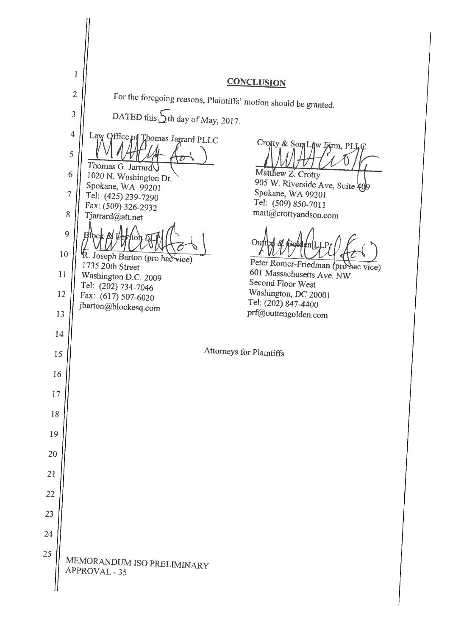$\mathbf{1}$ **CONCLUSION**  $\overline{2}$ For the foregoing reasons, Plaintiffs' motion should be granted. DATED this  $\sqrt{\frac{1}{1}}$ th day of May, 2017. 3  $\overline{4}$ Law Office of Thomas Jagrard PLLC Crofty & Som Law Eirm, PLLQ 5 Thomas G. Jarrard Matthew Z. Crotty 1020 N. Washington Dt. 6 905 W. Riverside Ave, Suite 40 Spokane, WA 99201 Spokane, WA 99201  $\overline{7}$ Tel: (425) 239-7290 Tel: (509) 850-7011 Fax: (509) 326-2932 matt@crottyandson.com 8 Tjarrard@att.net  $\overline{Q}$ ∩ւ  $10$ R. Joseph Barton (pro hac viee) Peter Romer-Friedman (pro hac vice) 1735 20th Street 601 Massachusetts Ave. NW  $11$ Washington D.C. 2009 Second Floor West Tel: (202) 734-7046 Washington, DC 20001 12 Fax: (617) 507-6020 Tel: (202) 847-4400 jbarton@blockesq.com prf@outtengolden.com 13 14 Attorneys for Plaintiffs 15 16 17 18 19 20 21 22 23 24 25 MEMORANDUM ISO PRELIMINARY APPROVAL - 35